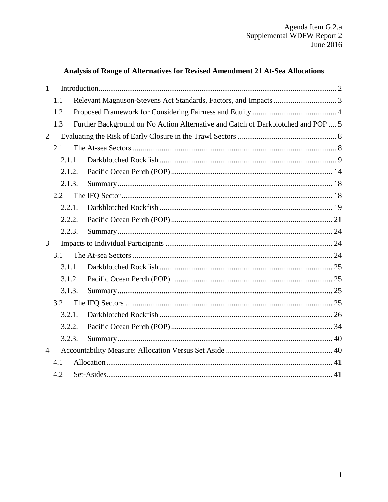# Analysis of Range of Alternatives for Revised Amendment 21 At-Sea Allocations

<span id="page-0-0"></span>

| $\mathbf{1}$   |     |        |                                                                                  |  |
|----------------|-----|--------|----------------------------------------------------------------------------------|--|
|                | 1.1 |        |                                                                                  |  |
|                | 1.2 |        |                                                                                  |  |
|                | 1.3 |        | Further Background on No Action Alternative and Catch of Darkblotched and POP  5 |  |
| $\overline{2}$ |     |        |                                                                                  |  |
|                | 2.1 |        |                                                                                  |  |
|                |     | 2.1.1. |                                                                                  |  |
|                |     | 2.1.2. |                                                                                  |  |
|                |     | 2.1.3. |                                                                                  |  |
|                | 2.2 |        |                                                                                  |  |
|                |     | 2.2.1. |                                                                                  |  |
|                |     | 2.2.2. |                                                                                  |  |
|                |     | 2.2.3. |                                                                                  |  |
| 3              |     |        |                                                                                  |  |
|                | 3.1 |        |                                                                                  |  |
|                |     | 3.1.1. |                                                                                  |  |
|                |     | 3.1.2. |                                                                                  |  |
|                |     | 3.1.3. |                                                                                  |  |
|                | 3.2 |        |                                                                                  |  |
|                |     | 3.2.1. |                                                                                  |  |
|                |     | 3.2.2. |                                                                                  |  |
|                |     | 3.2.3. |                                                                                  |  |
| $\overline{4}$ |     |        |                                                                                  |  |
|                | 4.1 |        |                                                                                  |  |
|                | 4.2 |        |                                                                                  |  |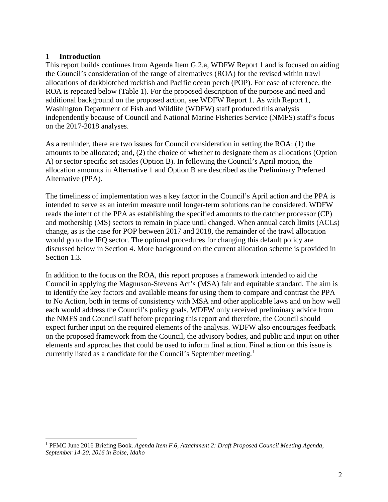#### **1 Introduction**

This report builds continues from [Agenda Item G.2.a, WDFW Report 1](http://www.pcouncil.org/wp-content/uploads/2016/06/G2a_WDFW_Rpt1_AM21_JUN2016BB.pdf) and is focused on aiding the Council's consideration of the range of alternatives (ROA) for the revised within trawl allocations of darkblotched rockfish and Pacific ocean perch (POP). For ease of reference, the ROA is repeated below [\(Table 1\)](#page-2-1). For the proposed description of the purpose and need and additional background on the proposed action, see [WDFW Report 1.](http://www.pcouncil.org/wp-content/uploads/2016/06/G2a_WDFW_Rpt1_AM21_JUN2016BB.pdf) As with Report 1, Washington Department of Fish and Wildlife (WDFW) staff produced this analysis independently because of Council and National Marine Fisheries Service (NMFS) staff's focus on the 2017-2018 analyses.

As a reminder, there are two issues for Council consideration in setting the ROA: (1) the amounts to be allocated; and, (2) the choice of whether to designate them as allocations (Option A) or sector specific set asides (Option B). In following the Council's April motion, the allocation amounts in Alternative 1 and Option B are described as the Preliminary Preferred Alternative (PPA).

The timeliness of implementation was a key factor in the Council's April action and the PPA is intended to serve as an interim measure until longer-term solutions can be considered. WDFW reads the intent of the PPA as establishing the specified amounts to the catcher processor (CP) and mothership (MS) sectors to remain in place until changed. When annual catch limits (ACLs) change, as is the case for POP between 2017 and 2018, the remainder of the trawl allocation would go to the IFQ sector. The optional procedures for changing this default policy are discussed below in Section [4.](#page-39-1) More background on the current allocation scheme is provided in Section [1.3.](#page-4-0)

In addition to the focus on the ROA, this report proposes a framework intended to aid the Council in applying the Magnuson-Stevens Act's (MSA) fair and equitable standard. The aim is to identify the key factors and available means for using them to compare and contrast the PPA to No Action, both in terms of consistency with MSA and other applicable laws and on how well each would address the Council's policy goals. WDFW only received preliminary advice from the NMFS and Council staff before preparing this report and therefore, the Council should expect further input on the required elements of the analysis. WDFW also encourages feedback on the proposed framework from the Council, the advisory bodies, and public and input on other elements and approaches that could be used to inform final action. Final action on this issue is currently listed as a candidate for the Council's September meeting.<sup>[1](#page-1-0)</sup>

<span id="page-1-0"></span> <sup>1</sup> PFMC June 2016 Briefing Book. *Agenda Item F.6, Attachment 2: Draft Proposed Council Meeting Agenda, September 14-20, 2016 in Boise, Idaho*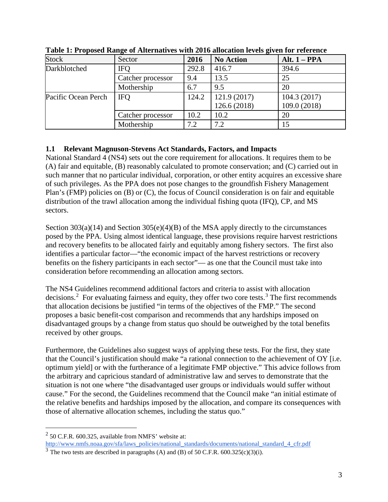| <b>Stock</b>        | Sector            | 2016  | <b>No Action</b> | Alt. $1 - PPA$ |
|---------------------|-------------------|-------|------------------|----------------|
| Darkblotched        | <b>IFO</b>        | 292.8 | 416.7            | 394.6          |
|                     | Catcher processor | 9.4   | 13.5             | 25             |
|                     | Mothership        | 6.7   | 9.5              | 20             |
| Pacific Ocean Perch | <b>IFQ</b>        | 124.2 | 121.9 (2017)     | 104.3(2017)    |
|                     |                   |       | 126.6 (2018)     | 109.0 (2018)   |
|                     | Catcher processor | 10.2  | 10.2             | 20             |
|                     | Mothership        | 7.2   | 7.2              | 15             |

<span id="page-2-1"></span>**Table 1: Proposed Range of Alternatives with 2016 allocation levels given for reference** 

### <span id="page-2-0"></span>**1.1 Relevant Magnuson-Stevens Act Standards, Factors, and Impacts**

National Standard 4 (NS4) sets out the core requirement for allocations. It requires them to be (A) fair and equitable, (B) reasonably calculated to promote conservation; and (C) carried out in such manner that no particular individual, corporation, or other entity acquires an excessive share of such privileges. As the PPA does not pose changes to the groundfish Fishery Management Plan's (FMP) policies on (B) or (C), the focus of Council consideration is on fair and equitable distribution of the trawl allocation among the individual fishing quota (IFQ), CP, and MS sectors.

Section 303(a)(14) and Section 305(e)(4)(B) of the MSA apply directly to the circumstances posed by the PPA. Using almost identical language, these provisions require harvest restrictions and recovery benefits to be allocated fairly and equitably among fishery sectors. The first also identifies a particular factor—"the economic impact of the harvest restrictions or recovery benefits on the fishery participants in each sector"— as one that the Council must take into consideration before recommending an allocation among sectors.

The NS4 Guidelines recommend additional factors and criteria to assist with allocation decisions.<sup>[2](#page-2-2)</sup> For evaluating fairness and equity, they offer two core tests.<sup>[3](#page-2-3)</sup> The first recommends that allocation decisions be justified "in terms of the objectives of the FMP." The second proposes a basic benefit-cost comparison and recommends that any hardships imposed on disadvantaged groups by a change from status quo should be outweighed by the total benefits received by other groups.

Furthermore, the Guidelines also suggest ways of applying these tests. For the first, they state that the Council's justification should make "a rational connection to the achievement of OY [i.e. optimum yield] or with the furtherance of a legitimate FMP objective." This advice follows from the arbitrary and capricious standard of administrative law and serves to demonstrate that the situation is not one where "the disadvantaged user groups or individuals would suffer without cause." For the second, the Guidelines recommend that the Council make "an initial estimate of the relative benefits and hardships imposed by the allocation, and compare its consequences with those of alternative allocation schemes, including the status quo."

<span id="page-2-2"></span> $2$  50 C.F.R. 600.325, available from NMFS' website at: [http://www.nmfs.noaa.gov/sfa/laws\\_policies/national\\_standards/documents/national\\_standard\\_4\\_cfr.pdf](http://www.nmfs.noaa.gov/sfa/laws_policies/national_standards/documents/national_standard_4_cfr.pdf)

<span id="page-2-3"></span> $3$  The two tests are described in paragraphs (A) and (B) of 50 C.F.R. 600.325(c)(3)(i).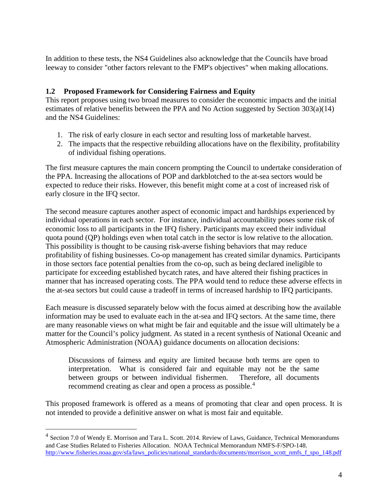In addition to these tests, the NS4 Guidelines also acknowledge that the Councils have broad leeway to consider "other factors relevant to the FMP's objectives" when making allocations.

### <span id="page-3-0"></span>**1.2 Proposed Framework for Considering Fairness and Equity**

This report proposes using two broad measures to consider the economic impacts and the initial estimates of relative benefits between the PPA and No Action suggested by Section 303(a)(14) and the NS4 Guidelines:

- 1. The risk of early closure in each sector and resulting loss of marketable harvest.
- 2. The impacts that the respective rebuilding allocations have on the flexibility, profitability of individual fishing operations.

The first measure captures the main concern prompting the Council to undertake consideration of the PPA. Increasing the allocations of POP and darkblotched to the at-sea sectors would be expected to reduce their risks. However, this benefit might come at a cost of increased risk of early closure in the IFQ sector.

The second measure captures another aspect of economic impact and hardships experienced by individual operations in each sector. For instance, individual accountability poses some risk of economic loss to all participants in the IFQ fishery. Participants may exceed their individual quota pound (QP) holdings even when total catch in the sector is low relative to the allocation. This possibility is thought to be causing risk-averse fishing behaviors that may reduce profitability of fishing businesses. Co-op management has created similar dynamics. Participants in those sectors face potential penalties from the co-op, such as being declared ineligible to participate for exceeding established bycatch rates, and have altered their fishing practices in manner that has increased operating costs. The PPA would tend to reduce these adverse effects in the at-sea sectors but could cause a tradeoff in terms of increased hardship to IFQ participants.

Each measure is discussed separately below with the focus aimed at describing how the available information may be used to evaluate each in the at-sea and IFQ sectors. At the same time, there are many reasonable views on what might be fair and equitable and the issue will ultimately be a matter for the Council's policy judgment. As stated in a recent synthesis of National Oceanic and Atmospheric Administration (NOAA) guidance documents on allocation decisions:

Discussions of fairness and equity are limited because both terms are open to interpretation. What is considered fair and equitable may not be the same between groups or between individual fishermen. Therefore, all documents recommend creating as clear and open a process as possible.<sup>[4](#page-3-1)</sup>

This proposed framework is offered as a means of promoting that clear and open process. It is not intended to provide a definitive answer on what is most fair and equitable.

<span id="page-3-1"></span> <sup>4</sup> Section 7.0 of Wendy E. Morrison and Tara L. Scott. 2014. Review of Laws, Guidance, Technical Memorandums and Case Studies Related to Fisheries Allocation. NOAA Technical Memorandum NMFS-F/SPO-148[.](http://www.fisheries.noaa.gov/sfa/laws_policies/national_standards/documents/morrison_scott_nmfs_f_spo_148.pdf) [http://www.fisheries.noaa.gov/sfa/laws\\_policies/national\\_standards/documents/morrison\\_scott\\_nmfs\\_f\\_spo\\_148.pdf](http://www.fisheries.noaa.gov/sfa/laws_policies/national_standards/documents/morrison_scott_nmfs_f_spo_148.pdf)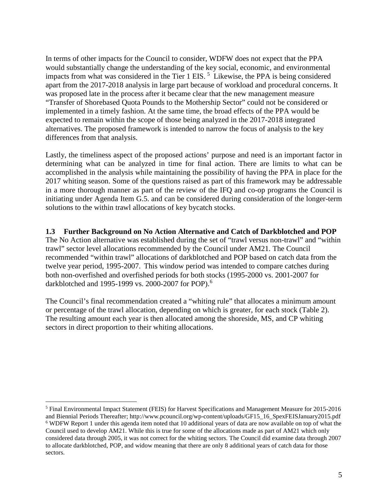In terms of other impacts for the Council to consider, WDFW does not expect that the PPA would substantially change the understanding of the key social, economic, and environmental impacts from what was considered in the Tier 1 EIS.<sup>[5](#page-4-1)</sup> Likewise, the PPA is being considered apart from the 2017-2018 analysis in large part because of workload and procedural concerns. It was proposed late in the process after it became clear that the new management measure "Transfer of Shorebased Quota Pounds to the Mothership Sector" could not be considered or implemented in a timely fashion. At the same time, the broad effects of the PPA would be expected to remain within the scope of those being analyzed in the 2017-2018 integrated alternatives. The proposed framework is intended to narrow the focus of analysis to the key differences from that analysis.

Lastly, the timeliness aspect of the proposed actions' purpose and need is an important factor in determining what can be analyzed in time for final action. There are limits to what can be accomplished in the analysis while maintaining the possibility of having the PPA in place for the 2017 whiting season. Some of the questions raised as part of this framework may be addressable in a more thorough manner as part of the review of the IFQ and co-op programs the Council is initiating under Agenda Item G.5. and can be considered during consideration of the longer-term solutions to the within trawl allocations of key bycatch stocks.

<span id="page-4-0"></span>**1.3 Further Background on No Action Alternative and Catch of Darkblotched and POP** The No Action alternative was established during the set of "trawl versus non-trawl" and "within trawl" sector level allocations recommended by the Council under AM21. The Council recommended "within trawl" allocations of darkblotched and POP based on catch data from the twelve year period, 1995-2007. This window period was intended to compare catches during both non-overfished and overfished periods for both stocks (1995-2000 vs. 2001-2007 for darkblotched and 1995-1999 vs. 2000-2007 for POP).<sup>[6](#page-4-2)</sup>

The Council's final recommendation created a "whiting rule" that allocates a minimum amount or percentage of the trawl allocation, depending on which is greater, for each stock [\(Table 2\)](#page-5-0). The resulting amount each year is then allocated among the shoreside, MS, and CP whiting sectors in direct proportion to their whiting allocations.

<span id="page-4-2"></span><span id="page-4-1"></span> <sup>5</sup> Final Environmental Impact Statement (FEIS) for Harvest Specifications and Management Measure for 2015-2016 and Biennial Periods Thereafter; http://www.pcouncil.org/wp-content/uploads/GF15\_16\_SpexFEISJanuary2015.pdf <sup>6</sup> WDFW Report 1 under this agenda item noted that 10 additional years of data are now available on top of what the Council used to develop AM21. While this is true for some of the allocations made as part of AM21 which only considered data through 2005, it was not correct for the whiting sectors. The Council did examine data through 2007 to allocate darkblotched, POP, and widow meaning that there are only 8 additional years of catch data for those sectors.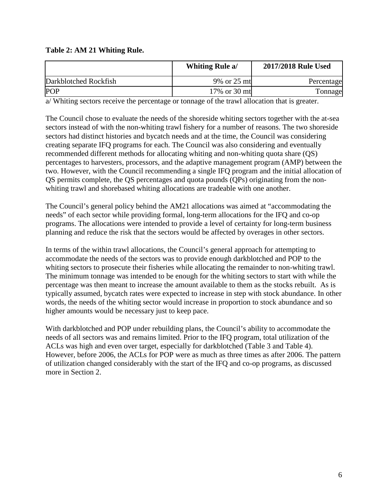### <span id="page-5-0"></span>**Table 2: AM 21 Whiting Rule.**

|                       | <b>Whiting Rule a/</b> | 2017/2018 Rule Used |
|-----------------------|------------------------|---------------------|
| Darkblotched Rockfish | 9% or 25 mt            | Percentage          |
| <b>POP</b>            | 17% or 30 mt           | <b>Tonnage</b>      |

a/ Whiting sectors receive the percentage or tonnage of the trawl allocation that is greater.

The Council chose to evaluate the needs of the shoreside whiting sectors together with the at-sea sectors instead of with the non-whiting trawl fishery for a number of reasons. The two shoreside sectors had distinct histories and bycatch needs and at the time, the Council was considering creating separate IFQ programs for each. The Council was also considering and eventually recommended different methods for allocating whiting and non-whiting quota share (QS) percentages to harvesters, processors, and the adaptive management program (AMP) between the two. However, with the Council recommending a single IFQ program and the initial allocation of QS permits complete, the QS percentages and quota pounds (QPs) originating from the nonwhiting trawl and shorebased whiting allocations are tradeable with one another.

The Council's general policy behind the AM21 allocations was aimed at "accommodating the needs" of each sector while providing formal, long-term allocations for the IFQ and co-op programs. The allocations were intended to provide a level of certainty for long-term business planning and reduce the risk that the sectors would be affected by overages in other sectors.

In terms of the within trawl allocations, the Council's general approach for attempting to accommodate the needs of the sectors was to provide enough darkblotched and POP to the whiting sectors to prosecute their fisheries while allocating the remainder to non-whiting trawl. The minimum tonnage was intended to be enough for the whiting sectors to start with while the percentage was then meant to increase the amount available to them as the stocks rebuilt. As is typically assumed, bycatch rates were expected to increase in step with stock abundance. In other words, the needs of the whiting sector would increase in proportion to stock abundance and so higher amounts would be necessary just to keep pace.

With darkblotched and POP under rebuilding plans, the Council's ability to accommodate the needs of all sectors was and remains limited. Prior to the IFQ program, total utilization of the ACLs was high and even over target, especially for darkblotched [\(Table 3](#page-6-0) and [Table 4\)](#page-6-1). However, before 2006, the ACLs for POP were as much as three times as after 2006. The pattern of utilization changed considerably with the start of the IFQ and co-op programs, as discussed more in Section [2.](#page-7-0)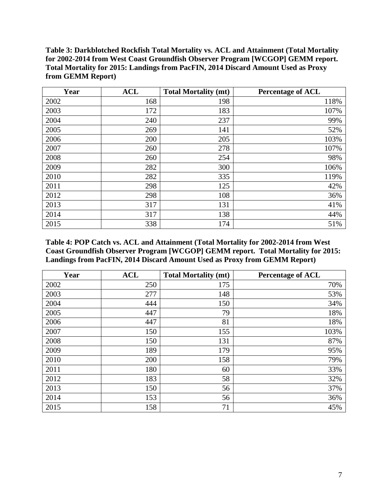<span id="page-6-0"></span>**Table 3: Darkblotched Rockfish Total Mortality vs. ACL and Attainment (Total Mortality for 2002-2014 from West Coast Groundfish Observer Program [WCGOP] GEMM report. Total Mortality for 2015: Landings from PacFIN, 2014 Discard Amount Used as Proxy from GEMM Report)**

| Year | <b>ACL</b> | <b>Total Mortality (mt)</b> | <b>Percentage of ACL</b> |
|------|------------|-----------------------------|--------------------------|
| 2002 | 168        | 198                         | 118%                     |
| 2003 | 172        | 183                         | 107%                     |
| 2004 | 240        | 237                         | 99%                      |
| 2005 | 269        | 141                         | 52%                      |
| 2006 | 200        | 205                         | 103%                     |
| 2007 | 260        | 278                         | 107%                     |
| 2008 | 260        | 254                         | 98%                      |
| 2009 | 282        | 300                         | 106%                     |
| 2010 | 282        | 335                         | 119%                     |
| 2011 | 298        | 125                         | 42%                      |
| 2012 | 298        | 108                         | 36%                      |
| 2013 | 317        | 131                         | 41%                      |
| 2014 | 317        | 138                         | 44%                      |
| 2015 | 338        | 174                         | 51%                      |

<span id="page-6-1"></span>**Table 4: POP Catch vs. ACL and Attainment (Total Mortality for 2002-2014 from West Coast Groundfish Observer Program [WCGOP] GEMM report. Total Mortality for 2015: Landings from PacFIN, 2014 Discard Amount Used as Proxy from GEMM Report)**

| Year | <b>ACL</b> | <b>Total Mortality (mt)</b> | <b>Percentage of ACL</b> |
|------|------------|-----------------------------|--------------------------|
| 2002 | 250        | 175                         | 70%                      |
| 2003 | 277        | 148                         | 53%                      |
| 2004 | 444        | 150                         | 34%                      |
| 2005 | 447        | 79                          | 18%                      |
| 2006 | 447        | 81                          | 18%                      |
| 2007 | 150        | 155                         | 103%                     |
| 2008 | 150        | 131                         | 87%                      |
| 2009 | 189        | 179                         | 95%                      |
| 2010 | 200        | 158                         | 79%                      |
| 2011 | 180        | 60                          | 33%                      |
| 2012 | 183        | 58                          | 32%                      |
| 2013 | 150        | 56                          | 37%                      |
| 2014 | 153        | 56                          | 36%                      |
| 2015 | 158        | 71                          | 45%                      |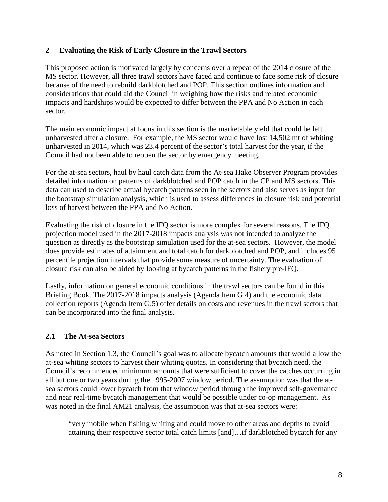### <span id="page-7-0"></span>**2 Evaluating the Risk of Early Closure in the Trawl Sectors**

This proposed action is motivated largely by concerns over a repeat of the 2014 closure of the MS sector. However, all three trawl sectors have faced and continue to face some risk of closure because of the need to rebuild darkblotched and POP. This section outlines information and considerations that could aid the Council in weighing how the risks and related economic impacts and hardships would be expected to differ between the PPA and No Action in each sector.

The main economic impact at focus in this section is the marketable yield that could be left unharvested after a closure. For example, the MS sector would have lost 14,502 mt of whiting unharvested in 2014, which was 23.4 percent of the sector's total harvest for the year, if the Council had not been able to reopen the sector by emergency meeting.

For the at-sea sectors, haul by haul catch data from the At-sea Hake Observer Program provides detailed information on patterns of darkblotched and POP catch in the CP and MS sectors. This data can used to describe actual bycatch patterns seen in the sectors and also serves as input for the bootstrap simulation analysis, which is used to assess differences in closure risk and potential loss of harvest between the PPA and No Action.

Evaluating the risk of closure in the IFQ sector is more complex for several reasons. The IFQ projection model used in the 2017-2018 impacts analysis was not intended to analyze the question as directly as the bootstrap simulation used for the at-sea sectors. However, the model does provide estimates of attainment and total catch for darkblotched and POP, and includes 95 percentile projection intervals that provide some measure of uncertainty. The evaluation of closure risk can also be aided by looking at bycatch patterns in the fishery pre-IFQ.

Lastly, information on general economic conditions in the trawl sectors can be found in this Briefing Book. The 2017-2018 impacts analysis (Agenda Item G.4) and the economic data collection reports (Agenda Item G.5) offer details on costs and revenues in the trawl sectors that can be incorporated into the final analysis.

## <span id="page-7-1"></span>**2.1 The At-sea Sectors**

As noted in Section 1.3, the Council's goal was to allocate bycatch amounts that would allow the at-sea whiting sectors to harvest their whiting quotas. In considering that bycatch need, the Council's recommended minimum amounts that were sufficient to cover the catches occurring in all but one or two years during the 1995-2007 window period. The assumption was that the atsea sectors could lower bycatch from that window period through the improved self-governance and near real-time bycatch management that would be possible under co-op management. As was noted in the final AM21 analysis, the assumption was that at-sea sectors were:

"very mobile when fishing whiting and could move to other areas and depths to avoid attaining their respective sector total catch limits [and]…if darkblotched bycatch for any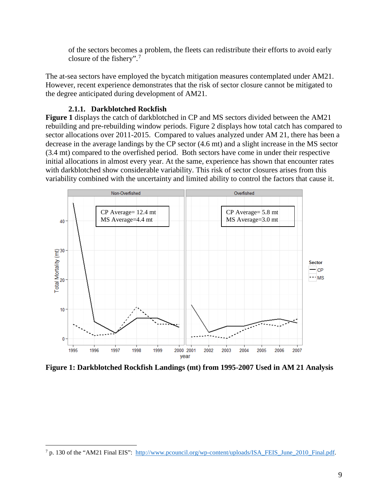of the sectors becomes a problem, the fleets can redistribute their efforts to avoid early closure of the fishery". [7](#page-8-2)

The at-sea sectors have employed the bycatch mitigation measures contemplated under AM21. However, recent experience demonstrates that the risk of sector closure cannot be mitigated to the degree anticipated during development of AM21.

### **2.1.1. Darkblotched Rockfish**

<span id="page-8-0"></span>**[Figure 1](#page-8-1)** displays the catch of darkblotched in CP and MS sectors divided between the AM21 rebuilding and pre-rebuilding window periods. [Figure 2](#page-9-0) displays how total catch has compared to sector allocations over 2011-2015. Compared to values analyzed under AM 21, there has been a decrease in the average landings by the CP sector (4.6 mt) and a slight increase in the MS sector (3.4 mt) compared to the overfished period. Both sectors have come in under their respective initial allocations in almost every year. At the same, experience has shown that encounter rates with darkblotched show considerable variability. This risk of sector closures arises from this variability combined with the uncertainty and limited ability to control the factors that cause it.



<span id="page-8-1"></span>**Figure 1: Darkblotched Rockfish Landings (mt) from 1995-2007 Used in AM 21 Analysis**

<span id="page-8-2"></span> <sup>7</sup> p. 130 of the "AM21 Final EIS": [http://www.pcouncil.org/wp-content/uploads/ISA\\_FEIS\\_June\\_2010\\_Final.pdf.](http://www.pcouncil.org/wp-content/uploads/ISA_FEIS_June_2010_Final.pdf)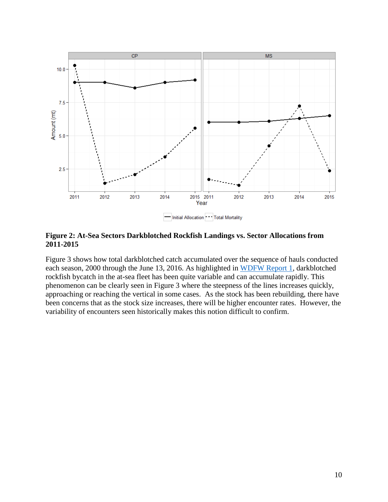

<span id="page-9-0"></span>**Figure 2: At-Sea Sectors Darkblotched Rockfish Landings vs. Sector Allocations from 2011-2015**

[Figure 3](#page-10-0) shows how total darkblotched catch accumulated over the sequence of hauls conducted each season, 2000 through the June 13, 2016. As highlighted in [WDFW Report 1,](http://www.pcouncil.org/wp-content/uploads/2016/06/G2a_WDFW_Rpt1_AM21_JUN2016BB.pdf) darkblotched rockfish bycatch in the at-sea fleet has been quite variable and can accumulate rapidly. This phenomenon can be clearly seen in [Figure 3](#page-10-0) where the steepness of the lines increases quickly, approaching or reaching the vertical in some cases. As the stock has been rebuilding, there have been concerns that as the stock size increases, there will be higher encounter rates. However, the variability of encounters seen historically makes this notion difficult to confirm.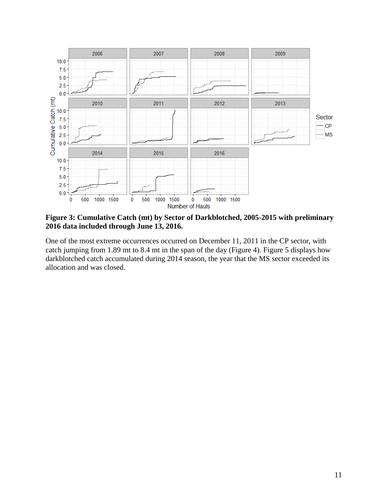

<span id="page-10-0"></span>**Figure 3: Cumulative Catch (mt) by Sector of Darkblotched, 2005-2015 with preliminary 2016 data included through June 13, 2016.**

One of the most extreme occurrences occurred on December 11, 2011 in the CP sector, with catch jumping from 1.89 mt to 8.4 mt in the span of the day [\(Figure 4\)](#page-11-0). [Figure 5](#page-11-1) displays how darkblotched catch accumulated during 2014 season, the year that the MS sector exceeded its allocation and was closed.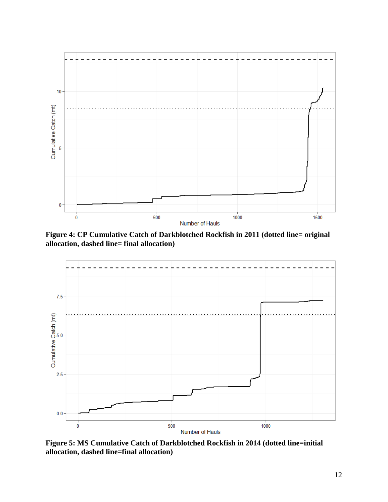

<span id="page-11-0"></span>**Figure 4: CP Cumulative Catch of Darkblotched Rockfish in 2011 (dotted line= original allocation, dashed line= final allocation)**



<span id="page-11-1"></span>**Figure 5: MS Cumulative Catch of Darkblotched Rockfish in 2014 (dotted line=initial allocation, dashed line=final allocation)**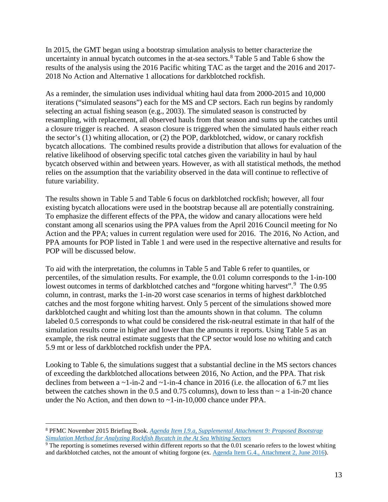In 2015, the GMT began using a bootstrap simulation analysis to better characterize the uncertainty in annual bycatch outcomes in the at-sea sectors.<sup>[8](#page-12-0)</sup> [Table 5](#page-13-1) and [Table](#page-13-2) 6 show the results of the analysis using the 2016 Pacific whiting TAC as the target and the 2016 and 2017- 2018 No Action and Alternative 1 allocations for darkblotched rockfish.

As a reminder, the simulation uses individual whiting haul data from 2000-2015 and 10,000 iterations ("simulated seasons") each for the MS and CP sectors. Each run begins by randomly selecting an actual fishing season (e.g., 2003). The simulated season is constructed by resampling, with replacement, all observed hauls from that season and sums up the catches until a closure trigger is reached. A season closure is triggered when the simulated hauls either reach the sector's (1) whiting allocation, or (2) the POP, darkblotched, widow, or canary rockfish bycatch allocations. The combined results provide a distribution that allows for evaluation of the relative likelihood of observing specific total catches given the variability in haul by haul bycatch observed within and between years. However, as with all statistical methods, the method relies on the assumption that the variability observed in the data will continue to reflective of future variability.

The results shown in [Table 5](#page-13-1) and [Table 6](#page-13-2) focus on darkblotched rockfish; however, all four existing bycatch allocations were used in the bootstrap because all are potentially constraining. To emphasize the different effects of the PPA, the widow and canary allocations were held constant among all scenarios using the PPA values from the April 2016 Council meeting for No Action and the PPA; values in current regulation were used for 2016. The 2016, No Action, and PPA amounts for POP listed in [Table 1](#page-2-1) and were used in the respective alternative and results for POP will be discussed below.

To aid with the interpretation*,* the columns in [Table 5](#page-13-1) and [Table 6](#page-13-2) refer to quantiles, or percentiles, of the simulation results. For example, the 0.01 column corresponds to the 1-in-100 lowest outcomes in terms of darkblotched catches and "forgone whiting harvest".<sup>[9](#page-12-1)</sup> The 0.95 column, in contrast, marks the 1-in-20 worst case scenarios in terms of highest darkblotched catches and the most forgone whiting harvest. Only 5 percent of the simulations showed more darkblotched caught and whiting lost than the amounts shown in that column. The column labeled 0.5 corresponds to what could be considered the risk-neutral estimate in that half of the simulation results come in higher and lower than the amounts it reports. Using [Table 5](#page-13-1) as an example, the risk neutral estimate suggests that the CP sector would lose no whiting and catch 5.9 mt or less of darkblotched rockfish under the PPA.

Looking to [Table 6,](#page-13-2) the simulations suggest that a substantial decline in the MS sectors chances of exceeding the darkblotched allocations between 2016, No Action, and the PPA. That risk declines from between a  $\sim$ 1-in-2 and  $\sim$ 1-in-4 chance in 2016 (i.e. the allocation of 6.7 mt lies between the catches shown in the 0.5 and 0.75 columns), down to less than  $\sim a$  1-in-20 chance under the No Action, and then down to ~1-in-10,000 chance under PPA.

<span id="page-12-0"></span> <sup>8</sup> PFMC November 2015 Briefing Book. *[Agenda Item I.9.a, Supplemental Attachment 9: Proposed Bootstrap](http://www.pcouncil.org/wp-content/uploads/2015/11/I4_Sup_Att9_AtSeaWhitingBootstrap_Nov2015BB.pdf)  [Simulation Method for Analyzing Rockfish Bycatch in the At Sea Whiting Sectors](http://www.pcouncil.org/wp-content/uploads/2015/11/I4_Sup_Att9_AtSeaWhitingBootstrap_Nov2015BB.pdf)*

<span id="page-12-1"></span> $9$  The reporting is sometimes reversed within different reports so that the 0.01 scenario refers to the lowest whiting and darkblotched catches, not the amount of whiting forgone (ex. [Agenda Item G.4., Attachment 2, June 2016\)](http://www.pcouncil.org/wp-content/uploads/2016/06/G4_Att2_Analysis_Doc_JUN2016BB.pdf).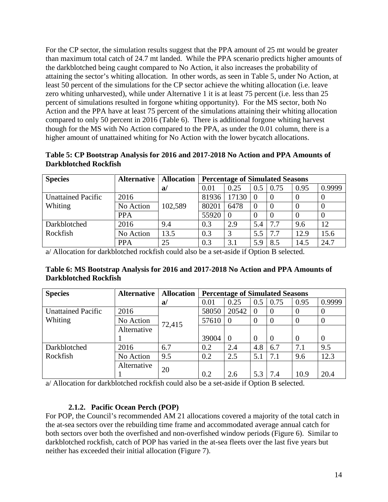For the CP sector, the simulation results suggest that the PPA amount of 25 mt would be greater than maximum total catch of 24.7 mt landed. While the PPA scenario predicts higher amounts of the darkblotched being caught compared to No Action, it also increases the probability of attaining the sector's whiting allocation. In other words, as seen in [Table 5,](#page-13-1) under No Action, at least 50 percent of the simulations for the CP sector achieve the whiting allocation (i.e. leave zero whiting unharvested), while under Alternative 1 it is at least 75 percent (i.e. less than 25 percent of simulations resulted in forgone whiting opportunity). For the MS sector, both No Action and the PPA have at least 75 percent of the simulations attaining their whiting allocation compared to only 50 percent in 2016 [\(Table 6\)](#page-13-2). There is additional forgone whiting harvest though for the MS with No Action compared to the PPA, as under the 0.01 column, there is a higher amount of unattained whiting for No Action with the lower bycatch allocations.

<span id="page-13-1"></span>

| Table 5: CP Bootstrap Analysis for 2016 and 2017-2018 No Action and PPA Amounts of |  |  |
|------------------------------------------------------------------------------------|--|--|
| <b>Darkblotched Rockfish</b>                                                       |  |  |

| <b>Species</b>            | <b>Alternative</b> | <b>Allocation</b> | <b>Percentage of Simulated Seasons</b> |       |          |          |          |        |
|---------------------------|--------------------|-------------------|----------------------------------------|-------|----------|----------|----------|--------|
|                           |                    | a                 | 0.01                                   | 0.25  | 0.5      | 0.75     | 0.95     | 0.9999 |
| <b>Unattained Pacific</b> | 2016               |                   | 81936                                  | 17130 | $\theta$ | 0        | $\theta$ |        |
| Whiting                   | No Action          | 102,589           | 80201                                  | 6478  | $\theta$ | $\Omega$ | $\theta$ |        |
|                           | <b>PPA</b>         |                   | 55920                                  | - 0   | $\theta$ | $\Omega$ |          |        |
| Darkblotched              | 2016               | 9.4               | 0.3                                    | 2.9   | 5.4      | 7.7      | 9.6      | 12     |
| Rockfish                  | No Action          | 13.5              | 0.3                                    | 3     | 5.5      | 7.7      | 12.9     | 15.6   |
|                           | <b>PPA</b>         | 25                | 0.3                                    | 3.1   | 5.9      | 8.5      | 14.5     | 24.7   |

a/ Allocation for darkblotched rockfish could also be a set-aside if Option B selected.

<span id="page-13-2"></span>

| Table 6: MS Bootstrap Analysis for 2016 and 2017-2018 No Action and PPA Amounts of |  |  |
|------------------------------------------------------------------------------------|--|--|
| <b>Darkblotched Rockfish</b>                                                       |  |  |

| <b>Species</b>            | <b>Alternative</b> | <b>Allocation</b> |       | <b>Percentage of Simulated Seasons</b> |                |                |          |                |
|---------------------------|--------------------|-------------------|-------|----------------------------------------|----------------|----------------|----------|----------------|
|                           |                    | a/                | 0.01  | 0.25                                   | 0.5            | 0.75           | 0.95     | 0.9999         |
| <b>Unattained Pacific</b> | 2016               |                   | 58050 | 20542                                  | $\Omega$       | $\Omega$       |          | $\theta$       |
| Whiting                   | No Action          | 72,415            | 57610 | $\Omega$                               | $\overline{0}$ | $\overline{0}$ |          | $\theta$       |
|                           | Alternative        |                   |       |                                        |                |                |          |                |
|                           |                    |                   | 39004 | $\overline{0}$                         | $\overline{0}$ | $\overline{0}$ | $\Omega$ | $\overline{0}$ |
| Darkblotched              | 2016               | 6.7               | 0.2   | 2.4                                    | 4.8            | 6.7            | 7.1      | 9.5            |
| Rockfish                  | No Action          | 9.5               | 0.2   | 2.5                                    | 5.1            | 7.1            | 9.6      | 12.3           |
|                           | Alternative        | 20                |       |                                        |                |                |          |                |
|                           |                    |                   | 0.2   | 2.6                                    | 5.3            | 7.4            | 10.9     | 20.4           |

a/ Allocation for darkblotched rockfish could also be a set-aside if Option B selected.

### **2.1.2. Pacific Ocean Perch (POP)**

<span id="page-13-0"></span>For POP, the Council's recommended AM 21 allocations covered a majority of the total catch in the at-sea sectors over the rebuilding time frame and accommodated average annual catch for both sectors over both the overfished and non-overfished window periods [\(Figure 6\)](#page-14-0). Similar to darkblotched rockfish, catch of POP has varied in the at-sea fleets over the last five years but neither has exceeded their initial allocation [\(Figure 7\)](#page-14-1).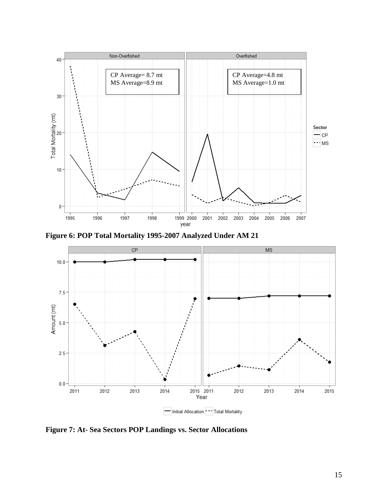

<span id="page-14-0"></span>**Figure 6: POP Total Mortality 1995-2007 Analyzed Under AM 21**



<span id="page-14-1"></span>**Figure 7: At- Sea Sectors POP Landings vs. Sector Allocations**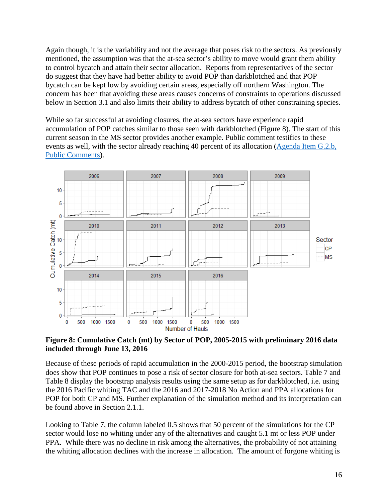Again though, it is the variability and not the average that poses risk to the sectors. As previously mentioned, the assumption was that the at-sea sector's ability to move would grant them ability to control bycatch and attain their sector allocation. Reports from representatives of the sector do suggest that they have had better ability to avoid POP than darkblotched and that POP bycatch can be kept low by avoiding certain areas, especially off northern Washington. The concern has been that avoiding these areas causes concerns of constraints to operations discussed below in Section [3.1](#page-23-2) and also limits their ability to address bycatch of other constraining species.

While so far successful at avoiding closures, the at-sea sectors have experience rapid accumulation of POP catches similar to those seen with darkblotched [\(Figure 8\)](#page-15-0). The start of this current season in the MS sector provides another example. Public comment testifies to these events as well, with the sector already reaching 40 percent of its allocation (Agenda Item G.2.b, [Public Comments\)](http://www.pcouncil.org/wp-content/uploads/2016/06/G2b_PubCom_JUN2016BB.pdf).



<span id="page-15-0"></span>**Figure 8: Cumulative Catch (mt) by Sector of POP, 2005-2015 with preliminary 2016 data included through June 13, 2016**

Because of these periods of rapid accumulation in the 2000-2015 period, the bootstrap simulation does show that POP continues to pose a risk of sector closure for both at-sea sectors. [Table 7](#page-16-0) and [Table 8](#page-16-1) display the bootstrap analysis results using the same setup as for darkblotched, i.e. using the 2016 Pacific whiting TAC and the 2016 and 2017-2018 No Action and PPA allocations for POP for both CP and MS. Further explanation of the simulation method and its interpretation can be found above in Section [2.1.1.](#page-8-0)

Looking to [Table 7,](#page-16-0) the column labeled 0.5 shows that 50 percent of the simulations for the CP sector would lose no whiting under any of the alternatives and caught 5.1 mt or less POP under PPA. While there was no decline in risk among the alternatives, the probability of not attaining the whiting allocation declines with the increase in allocation. The amount of forgone whiting is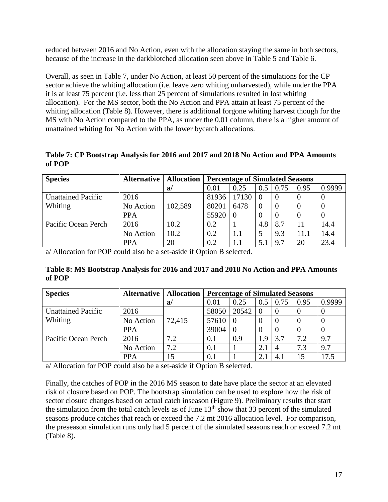reduced between 2016 and No Action, even with the allocation staying the same in both sectors, because of the increase in the darkblotched allocation seen above in [Table 5](#page-13-1) and [Table](#page-13-2) 6.

Overall, as seen in [Table 7,](#page-16-0) under No Action, at least 50 percent of the simulations for the CP sector achieve the whiting allocation (i.e. leave zero whiting unharvested), while under the PPA it is at least 75 percent (i.e. less than 25 percent of simulations resulted in lost whiting allocation). For the MS sector, both the No Action and PPA attain at least 75 percent of the whiting allocation [\(Table 8\)](#page-16-1). However, there is additional forgone whiting harvest though for the MS with No Action compared to the PPA, as under the 0.01 column, there is a higher amount of unattained whiting for No Action with the lower bycatch allocations.

<span id="page-16-0"></span>**Table 7: CP Bootstrap Analysis for 2016 and 2017 and 2018 No Action and PPA Amounts of POP**

| <b>Species</b>            | <b>Alternative</b> | <b>Allocation</b> | <b>Percentage of Simulated Seasons</b> |       |          |      |      |        |
|---------------------------|--------------------|-------------------|----------------------------------------|-------|----------|------|------|--------|
|                           |                    | a                 | 0.01                                   | 0.25  | 0.5      | 0.75 | 0.95 | 0.9999 |
| <b>Unattained Pacific</b> | 2016               |                   | 81936                                  | 17130 | 0        |      |      |        |
| Whiting                   | No Action          | 102,589           | 80201                                  | 6478  | $\Omega$ |      |      |        |
|                           | <b>PPA</b>         |                   | 55920                                  |       | $\theta$ |      |      |        |
| Pacific Ocean Perch       | 2016               | 10.2              | 0.2                                    |       | 4.8      | 8.7  |      | 14.4   |
|                           | No Action          | 10.2              | 0.2                                    | 1.1   |          | 9.3  | 11.1 | 14.4   |
|                           | <b>PPA</b>         | 20                | 0.2                                    | 1.1   | 5.1      | 9.7  | 20   | 23.4   |

a/ Allocation for POP could also be a set-aside if Option B selected.

<span id="page-16-1"></span>**Table 8: MS Bootstrap Analysis for 2016 and 2017 and 2018 No Action and PPA Amounts of POP**

| <b>Species</b>            | <b>Alternative</b> | <b>Allocation</b> | <b>Percentage of Simulated Seasons</b> |          |               |                |      |        |
|---------------------------|--------------------|-------------------|----------------------------------------|----------|---------------|----------------|------|--------|
|                           |                    | a                 | 0.01                                   | 0.25     | $0.5^{\circ}$ | 0.75           | 0.95 | 0.9999 |
| <b>Unattained Pacific</b> | 2016               |                   | 58050                                  | 20542    | -0            |                |      |        |
| <b>Whiting</b>            | No Action          | 72,415            | 57610                                  |          | $\theta$      |                |      |        |
|                           | <b>PPA</b>         |                   | 39004                                  | $\theta$ | $\theta$      |                |      |        |
| Pacific Ocean Perch       | 2016               | 7.2               | 0.1                                    | 0.9      | 1.9           | 3.7            | 7.2  | 9.7    |
|                           | No Action          | 7.2               | 0.1                                    |          | 2.1           | $\overline{4}$ | 7.3  | 9.7    |
|                           | <b>PPA</b>         |                   | 0.1                                    |          | 2.1           | 4.1            | 15   | 17.5   |

a/ Allocation for POP could also be a set-aside if Option B selected.

Finally, the catches of POP in the 2016 MS season to date have place the sector at an elevated risk of closure based on POP. The bootstrap simulation can be used to explore how the risk of sector closure changes based on actual catch inseason [\(Figure 9\)](#page-17-2). Preliminary results that start the simulation from the total catch levels as of June  $13<sup>th</sup>$  show that 33 percent of the simulated seasons produce catches that reach or exceed the 7.2 mt 2016 allocation level. For comparison, the preseason simulation runs only had 5 percent of the simulated seasons reach or exceed 7.2 mt [\(Table 8\)](#page-16-1).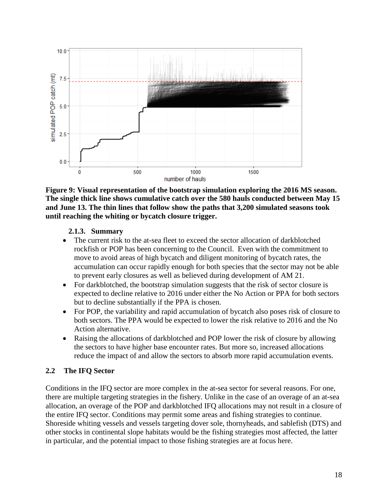

<span id="page-17-2"></span>**Figure 9: Visual representation of the bootstrap simulation exploring the 2016 MS season. The single thick line shows cumulative catch over the 580 hauls conducted between May 15 and June 13. The thin lines that follow show the paths that 3,200 simulated seasons took until reaching the whiting or bycatch closure trigger.** 

### **2.1.3. Summary**

- <span id="page-17-1"></span><span id="page-17-0"></span>• The current risk to the at-sea fleet to exceed the sector allocation of darkblotched rockfish or POP has been concerning to the Council. Even with the commitment to move to avoid areas of high bycatch and diligent monitoring of bycatch rates, the accumulation can occur rapidly enough for both species that the sector may not be able to prevent early closures as well as believed during development of AM 21.
- For darkblotched, the bootstrap simulation suggests that the risk of sector closure is expected to decline relative to 2016 under either the No Action or PPA for both sectors but to decline substantially if the PPA is chosen.
- For POP, the variability and rapid accumulation of bycatch also poses risk of closure to both sectors. The PPA would be expected to lower the risk relative to 2016 and the No Action alternative.
- Raising the allocations of darkblotched and POP lower the risk of closure by allowing the sectors to have higher base encounter rates. But more so, increased allocations reduce the impact of and allow the sectors to absorb more rapid accumulation events.

### **2.2 The IFQ Sector**

Conditions in the IFQ sector are more complex in the at-sea sector for several reasons. For one, there are multiple targeting strategies in the fishery. Unlike in the case of an overage of an at-sea allocation, an overage of the POP and darkblotched IFQ allocations may not result in a closure of the entire IFQ sector. Conditions may permit some areas and fishing strategies to continue. Shoreside whiting vessels and vessels targeting dover sole, thornyheads, and sablefish (DTS) and other stocks in continental slope habitats would be the fishing strategies most affected, the latter in particular, and the potential impact to those fishing strategies are at focus here.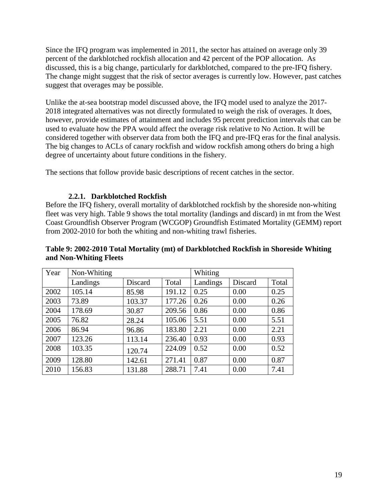Since the IFQ program was implemented in 2011, the sector has attained on average only 39 percent of the darkblotched rockfish allocation and 42 percent of the POP allocation. As discussed, this is a big change, particularly for darkblotched, compared to the pre-IFQ fishery. The change might suggest that the risk of sector averages is currently low. However, past catches suggest that overages may be possible.

Unlike the at-sea bootstrap model discussed above, the IFQ model used to analyze the 2017- 2018 integrated alternatives was not directly formulated to weigh the risk of overages. It does, however, provide estimates of attainment and includes 95 percent prediction intervals that can be used to evaluate how the PPA would affect the overage risk relative to No Action. It will be considered together with observer data from both the IFQ and pre-IFQ eras for the final analysis. The big changes to ACLs of canary rockfish and widow rockfish among others do bring a high degree of uncertainty about future conditions in the fishery.

The sections that follow provide basic descriptions of recent catches in the sector.

### **2.2.1. Darkblotched Rockfish**

<span id="page-18-0"></span>Before the IFQ fishery, overall mortality of darkblotched rockfish by the shoreside non-whiting fleet was very high. [Table 9](#page-18-1) shows the total mortality (landings and discard) in mt from the West Coast Groundfish Observer Program (WCGOP) Groundfish Estimated Mortality (GEMM) report from 2002-2010 for both the whiting and non-whiting trawl fisheries.

#### <span id="page-18-1"></span>**Table 9: 2002-2010 Total Mortality (mt) of Darkblotched Rockfish in Shoreside Whiting and Non-Whiting Fleets**

| Year | Non-Whiting |         |        | Whiting  |         |       |
|------|-------------|---------|--------|----------|---------|-------|
|      | Landings    | Discard | Total  | Landings | Discard | Total |
| 2002 | 105.14      | 85.98   | 191.12 | 0.25     | 0.00    | 0.25  |
| 2003 | 73.89       | 103.37  | 177.26 | 0.26     | 0.00    | 0.26  |
| 2004 | 178.69      | 30.87   | 209.56 | 0.86     | 0.00    | 0.86  |
| 2005 | 76.82       | 28.24   | 105.06 | 5.51     | 0.00    | 5.51  |
| 2006 | 86.94       | 96.86   | 183.80 | 2.21     | 0.00    | 2.21  |
| 2007 | 123.26      | 113.14  | 236.40 | 0.93     | 0.00    | 0.93  |
| 2008 | 103.35      | 120.74  | 224.09 | 0.52     | 0.00    | 0.52  |
| 2009 | 128.80      | 142.61  | 271.41 | 0.87     | 0.00    | 0.87  |
| 2010 | 156.83      | 131.88  | 288.71 | 7.41     | 0.00    | 7.41  |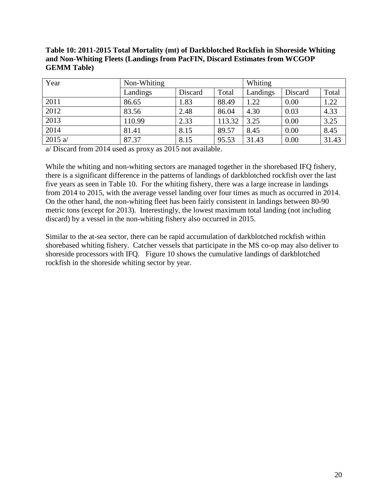<span id="page-19-0"></span>

| Table 10: 2011-2015 Total Mortality (mt) of Darkblotched Rockfish in Shoreside Whiting |
|----------------------------------------------------------------------------------------|
| and Non-Whiting Fleets (Landings from PacFIN, Discard Estimates from WCGOP             |
| <b>GEMM Table</b> )                                                                    |

| Year              | Non-Whiting |         |        | Whiting  |         |       |
|-------------------|-------------|---------|--------|----------|---------|-------|
|                   | Landings    | Discard | Total  | Landings | Discard | Total |
| 2011              | 86.65       | 1.83    | 88.49  | 1.22     | 0.00    | 1.22  |
| 2012              | 83.56       | 2.48    | 86.04  | 4.30     | 0.03    | 4.33  |
| $\overline{2013}$ | 110.99      | 2.33    | 113.32 | 3.25     | 0.00    | 3.25  |
| $\overline{2014}$ | 81.41       | 8.15    | 89.57  | 8.45     | 0.00    | 8.45  |
| 2015 $a/$         | 87.37       | 8.15    | 95.53  | 31.43    | 0.00    | 31.43 |

a/ Discard from 2014 used as proxy as 2015 not available.

While the whiting and non-whiting sectors are managed together in the shorebased IFQ fishery, there is a significant difference in the patterns of landings of darkblotched rockfish over the last five years as seen in [Table 10.](#page-19-0) For the whiting fishery, there was a large increase in landings from 2014 to 2015, with the average vessel landing over four times as much as occurred in 2014. On the other hand, the non-whiting fleet has been fairly consistent in landings between 80-90 metric tons (except for 2013). Interestingly, the lowest maximum total landing (not including discard) by a vessel in the non-whiting fishery also occurred in 2015.

Similar to the at-sea sector, there can be rapid accumulation of darkblotched rockfish within shorebased whiting fishery. Catcher vessels that participate in the MS co-op may also deliver to shoreside processors with IFQ. [Figure 10](#page-20-1) shows the cumulative landings of darkblotched rockfish in the shoreside whiting sector by year.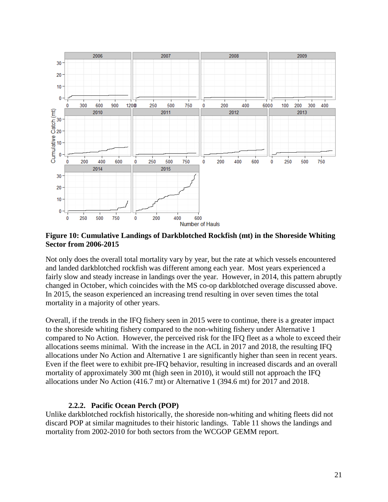

<span id="page-20-1"></span>**Figure 10: Cumulative Landings of Darkblotched Rockfish (mt) in the Shoreside Whiting Sector from 2006-2015**

Not only does the overall total mortality vary by year, but the rate at which vessels encountered and landed darkblotched rockfish was different among each year. Most years experienced a fairly slow and steady increase in landings over the year. However, in 2014, this pattern abruptly changed in October, which coincides with the MS co-op darkblotched overage discussed above. In 2015, the season experienced an increasing trend resulting in over seven times the total mortality in a majority of other years.

Overall, if the trends in the IFQ fishery seen in 2015 were to continue, there is a greater impact to the shoreside whiting fishery compared to the non-whiting fishery under Alternative 1 compared to No Action. However, the perceived risk for the IFQ fleet as a whole to exceed their allocations seems minimal. With the increase in the ACL in 2017 and 2018, the resulting IFQ allocations under No Action and Alternative 1 are significantly higher than seen in recent years. Even if the fleet were to exhibit pre-IFQ behavior, resulting in increased discards and an overall mortality of approximately 300 mt (high seen in 2010), it would still not approach the IFQ allocations under No Action (416.7 mt) or Alternative 1 (394.6 mt) for 2017 and 2018.

#### **2.2.2. Pacific Ocean Perch (POP)**

<span id="page-20-0"></span>Unlike darkblotched rockfish historically, the shoreside non-whiting and whiting fleets did not discard POP at similar magnitudes to their historic landings. [Table 11](#page-21-0) shows the landings and mortality from 2002-2010 for both sectors from the WCGOP GEMM report.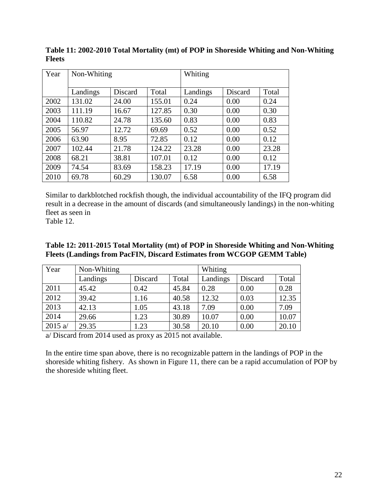| Year | Non-Whiting |         |        | Whiting  |         |       |
|------|-------------|---------|--------|----------|---------|-------|
|      | Landings    | Discard | Total  | Landings | Discard | Total |
| 2002 | 131.02      | 24.00   | 155.01 | 0.24     | 0.00    | 0.24  |
| 2003 | 111.19      | 16.67   | 127.85 | 0.30     | 0.00    | 0.30  |
| 2004 | 110.82      | 24.78   | 135.60 | 0.83     | 0.00    | 0.83  |
| 2005 | 56.97       | 12.72   | 69.69  | 0.52     | 0.00    | 0.52  |
| 2006 | 63.90       | 8.95    | 72.85  | 0.12     | 0.00    | 0.12  |
| 2007 | 102.44      | 21.78   | 124.22 | 23.28    | 0.00    | 23.28 |
| 2008 | 68.21       | 38.81   | 107.01 | 0.12     | 0.00    | 0.12  |
| 2009 | 74.54       | 83.69   | 158.23 | 17.19    | 0.00    | 17.19 |
| 2010 | 69.78       | 60.29   | 130.07 | 6.58     | 0.00    | 6.58  |

<span id="page-21-0"></span>**Table 11: 2002-2010 Total Mortality (mt) of POP in Shoreside Whiting and Non-Whiting Fleets**

Similar to darkblotched rockfish though, the individual accountability of the IFQ program did result in a decrease in the amount of discards (and simultaneously landings) in the non-whiting fleet as seen in

<span id="page-21-1"></span>[Table 12.](#page-21-1)

### **Table 12: 2011-2015 Total Mortality (mt) of POP in Shoreside Whiting and Non-Whiting Fleets (Landings from PacFIN, Discard Estimates from WCGOP GEMM Table)**

| Year      | Non-Whiting |         |       | Whiting  |         |       |
|-----------|-------------|---------|-------|----------|---------|-------|
|           | Landings    | Discard | Total | Landings | Discard | Total |
| 2011      | 45.42       | 0.42    | 45.84 | 0.28     | 0.00    | 0.28  |
| 2012      | 39.42       | 1.16    | 40.58 | 12.32    | 0.03    | 12.35 |
| 2013      | 42.13       | 1.05    | 43.18 | 7.09     | 0.00    | 7.09  |
| 2014      | 29.66       | 1.23    | 30.89 | 10.07    | 0.00    | 10.07 |
| 2015 $a/$ | 29.35       | 1.23    | 30.58 | 20.10    | 0.00    | 20.10 |

a/ Discard from 2014 used as proxy as 2015 not available.

In the entire time span above, there is no recognizable pattern in the landings of POP in the shoreside whiting fishery. As shown in [Figure 11,](#page-22-0) there can be a rapid accumulation of POP by the shoreside whiting fleet.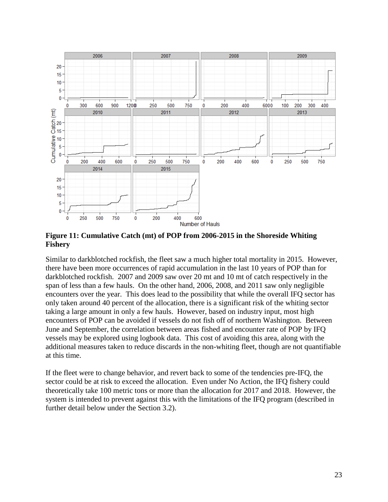

<span id="page-22-0"></span>**Figure 11: Cumulative Catch (mt) of POP from 2006-2015 in the Shoreside Whiting Fishery**

Similar to darkblotched rockfish, the fleet saw a much higher total mortality in 2015. However, there have been more occurrences of rapid accumulation in the last 10 years of POP than for darkblotched rockfish. 2007 and 2009 saw over 20 mt and 10 mt of catch respectively in the span of less than a few hauls. On the other hand, 2006, 2008, and 2011 saw only negligible encounters over the year. This does lead to the possibility that while the overall IFQ sector has only taken around 40 percent of the allocation, there is a significant risk of the whiting sector taking a large amount in only a few hauls. However, based on industry input, most high encounters of POP can be avoided if vessels do not fish off of northern Washington. Between June and September, the correlation between areas fished and encounter rate of POP by IFQ vessels may be explored using logbook data. This cost of avoiding this area, along with the additional measures taken to reduce discards in the non-whiting fleet, though are not quantifiable at this time.

If the fleet were to change behavior, and revert back to some of the tendencies pre-IFQ, the sector could be at risk to exceed the allocation. Even under No Action, the IFQ fishery could theoretically take 100 metric tons or more than the allocation for 2017 and 2018. However, the system is intended to prevent against this with the limitations of the IFQ program (described in further detail below under the Section [3.2\)](#page-24-3).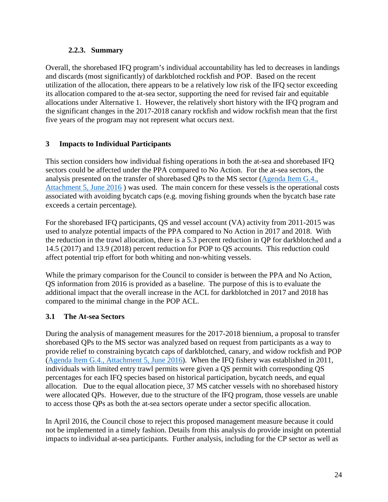### **2.2.3. Summary**

<span id="page-23-0"></span>Overall, the shorebased IFQ program's individual accountability has led to decreases in landings and discards (most significantly) of darkblotched rockfish and POP. Based on the recent utilization of the allocation, there appears to be a relatively low risk of the IFQ sector exceeding its allocation compared to the at-sea sector, supporting the need for revised fair and equitable allocations under Alternative 1. However, the relatively short history with the IFQ program and the significant changes in the 2017-2018 canary rockfish and widow rockfish mean that the first five years of the program may not represent what occurs next.

### <span id="page-23-1"></span>**3 Impacts to Individual Participants**

This section considers how individual fishing operations in both the at-sea and shorebased IFQ sectors could be affected under the PPA compared to No Action. For the at-sea sectors, the analysis presented on the transfer of shorebased QPs to the MS sector [\(Agenda Item G.4.,](http://www.pcouncil.org/wp-content/uploads/2016/06/G4_Att5_DraftAppB_JUN2016BB.pdf)  [Attachment 5, June 2016](http://www.pcouncil.org/wp-content/uploads/2016/06/G4_Att5_DraftAppB_JUN2016BB.pdf)) was used. The main concern for these vessels is the operational costs associated with avoiding bycatch caps (e.g. moving fishing grounds when the bycatch base rate exceeds a certain percentage).

For the shorebased IFQ participants, QS and vessel account (VA) activity from 2011-2015 was used to analyze potential impacts of the PPA compared to No Action in 2017 and 2018. With the reduction in the trawl allocation, there is a 5.3 percent reduction in QP for darkblotched and a 14.5 (2017) and 13.9 (2018) percent reduction for POP to QS accounts. This reduction could affect potential trip effort for both whiting and non-whiting vessels.

While the primary comparison for the Council to consider is between the PPA and No Action, QS information from 2016 is provided as a baseline. The purpose of this is to evaluate the additional impact that the overall increase in the ACL for darkblotched in 2017 and 2018 has compared to the minimal change in the POP ACL.

## <span id="page-23-2"></span>**3.1 The At-sea Sectors**

During the analysis of management measures for the 2017-2018 biennium, a proposal to transfer shorebased QPs to the MS sector was analyzed based on request from participants as a way to provide relief to constraining bycatch caps of darkblotched, canary, and widow rockfish and POP [\(Agenda Item G.4., Attachment 5, June 2016\)](http://www.pcouncil.org/wp-content/uploads/2016/06/G4_Att5_DraftAppB_JUN2016BB.pdf). When the IFQ fishery was established in 2011, individuals with limited entry trawl permits were given a QS permit with corresponding QS percentages for each IFQ species based on historical participation, bycatch needs, and equal allocation. Due to the equal allocation piece, 37 MS catcher vessels with no shorebased history were allocated QPs. However, due to the structure of the IFQ program, those vessels are unable to access those QPs as both the at-sea sectors operate under a sector specific allocation.

In April 2016, the Council chose to reject this proposed management measure because it could not be implemented in a timely fashion. Details from this analysis do provide insight on potential impacts to individual at-sea participants. Further analysis, including for the CP sector as well as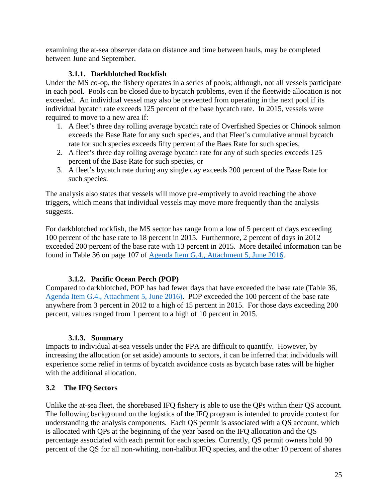examining the at-sea observer data on distance and time between hauls, may be completed between June and September.

## **3.1.1. Darkblotched Rockfish**

<span id="page-24-0"></span>Under the MS co-op, the fishery operates in a series of pools; although, not all vessels participate in each pool. Pools can be closed due to bycatch problems, even if the fleetwide allocation is not exceeded. An individual vessel may also be prevented from operating in the next pool if its individual bycatch rate exceeds 125 percent of the base bycatch rate. In 2015, vessels were required to move to a new area if:

- 1. A fleet's three day rolling average bycatch rate of Overfished Species or Chinook salmon exceeds the Base Rate for any such species, and that Fleet's cumulative annual bycatch rate for such species exceeds fifty percent of the Baes Rate for such species,
- 2. A fleet's three day rolling average bycatch rate for any of such species exceeds 125 percent of the Base Rate for such species, or
- 3. A fleet's bycatch rate during any single day exceeds 200 percent of the Base Rate for such species.

The analysis also states that vessels will move pre-emptively to avoid reaching the above triggers, which means that individual vessels may move more frequently than the analysis suggests.

For darkblotched rockfish, the MS sector has range from a low of 5 percent of days exceeding 100 percent of the base rate to 18 percent in 2015. Furthermore, 2 percent of days in 2012 exceeded 200 percent of the base rate with 13 percent in 2015. More detailed information can be found in Table 36 on page 107 of [Agenda Item G.4., Attachment 5, June 2016.](http://www.pcouncil.org/wp-content/uploads/2016/06/G4_Att5_DraftAppB_JUN2016BB.pdf)

## **3.1.2. Pacific Ocean Perch (POP)**

<span id="page-24-1"></span>Compared to darkblotched, POP has had fewer days that have exceeded the base rate (Table 36, [Agenda Item G.4., Attachment 5, June 2016\)](http://www.pcouncil.org/wp-content/uploads/2016/06/G4_Att5_DraftAppB_JUN2016BB.pdf). POP exceeded the 100 percent of the base rate anywhere from 3 percent in 2012 to a high of 15 percent in 2015. For those days exceeding 200 percent, values ranged from 1 percent to a high of 10 percent in 2015.

## **3.1.3. Summary**

<span id="page-24-2"></span>Impacts to individual at-sea vessels under the PPA are difficult to quantify. However, by increasing the allocation (or set aside) amounts to sectors, it can be inferred that individuals will experience some relief in terms of bycatch avoidance costs as bycatch base rates will be higher with the additional allocation.

## <span id="page-24-3"></span>**3.2 The IFQ Sectors**

Unlike the at-sea fleet, the shorebased IFQ fishery is able to use the QPs within their QS account. The following background on the logistics of the IFQ program is intended to provide context for understanding the analysis components. Each QS permit is associated with a QS account, which is allocated with QPs at the beginning of the year based on the IFQ allocation and the QS percentage associated with each permit for each species. Currently, QS permit owners hold 90 percent of the QS for all non-whiting, non-halibut IFQ species, and the other 10 percent of shares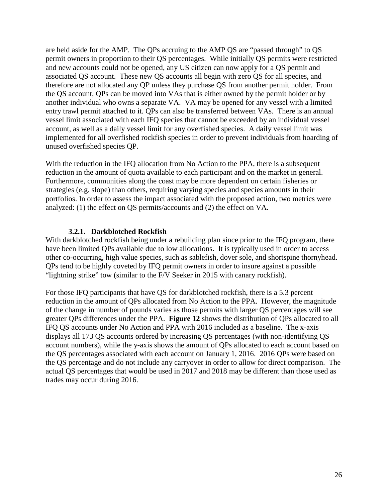are held aside for the AMP. The QPs accruing to the AMP QS are "passed through" to QS permit owners in proportion to their QS percentages. While initially QS permits were restricted and new accounts could not be opened, any US citizen can now apply for a QS permit and associated QS account. These new QS accounts all begin with zero QS for all species, and therefore are not allocated any QP unless they purchase QS from another permit holder. From the QS account, QPs can be moved into VAs that is either owned by the permit holder or by another individual who owns a separate VA. VA may be opened for any vessel with a limited entry trawl permit attached to it. QPs can also be transferred between VAs. There is an annual vessel limit associated with each IFQ species that cannot be exceeded by an individual vessel account, as well as a daily vessel limit for any overfished species. A daily vessel limit was implemented for all overfished rockfish species in order to prevent individuals from hoarding of unused overfished species QP.

With the reduction in the IFQ allocation from No Action to the PPA, there is a subsequent reduction in the amount of quota available to each participant and on the market in general. Furthermore, communities along the coast may be more dependent on certain fisheries or strategies (e.g. slope) than others, requiring varying species and species amounts in their portfolios. In order to assess the impact associated with the proposed action, two metrics were analyzed: (1) the effect on QS permits/accounts and (2) the effect on VA.

#### **3.2.1. Darkblotched Rockfish**

<span id="page-25-0"></span>With darkblotched rockfish being under a rebuilding plan since prior to the IFQ program, there have been limited QPs available due to low allocations. It is typically used in order to access other co-occurring, high value species, such as sablefish, dover sole, and shortspine thornyhead. QPs tend to be highly coveted by IFQ permit owners in order to insure against a possible "lightning strike" tow (similar to the F/V Seeker in 2015 with canary rockfish).

For those IFQ participants that have QS for darkblotched rockfish, there is a 5.3 percent reduction in the amount of QPs allocated from No Action to the PPA. However, the magnitude of the change in number of pounds varies as those permits with larger QS percentages will see greater QPs differences under the PPA. **[Figure 12](#page-26-0)** shows the distribution of QPs allocated to all IFQ QS accounts under No Action and PPA with 2016 included as a baseline. The x-axis displays all 173 QS accounts ordered by increasing QS percentages (with non-identifying QS account numbers), while the y-axis shows the amount of QPs allocated to each account based on the QS percentages associated with each account on January 1, 2016. 2016 QPs were based on the QS percentage and do not include any carryover in order to allow for direct comparison. The actual QS percentages that would be used in 2017 and 2018 may be different than those used as trades may occur during 2016.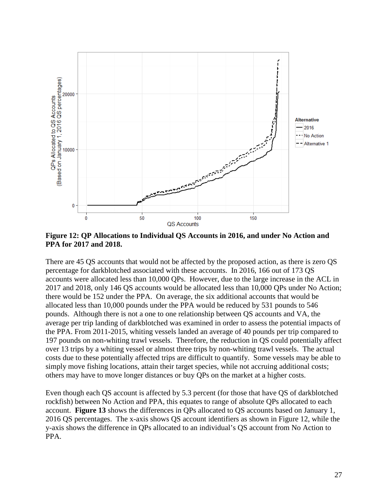

<span id="page-26-0"></span>**Figure 12: QP Allocations to Individual QS Accounts in 2016, and under No Action and PPA for 2017 and 2018.**

There are 45 QS accounts that would not be affected by the proposed action, as there is zero QS percentage for darkblotched associated with these accounts. In 2016, 166 out of 173 QS accounts were allocated less than 10,000 QPs. However, due to the large increase in the ACL in 2017 and 2018, only 146 QS accounts would be allocated less than 10,000 QPs under No Action; there would be 152 under the PPA. On average, the six additional accounts that would be allocated less than 10,000 pounds under the PPA would be reduced by 531 pounds to 546 pounds. Although there is not a one to one relationship between QS accounts and VA, the average per trip landing of darkblotched was examined in order to assess the potential impacts of the PPA. From 2011-2015, whiting vessels landed an average of 40 pounds per trip compared to 197 pounds on non-whiting trawl vessels. Therefore, the reduction in QS could potentially affect over 13 trips by a whiting vessel or almost three trips by non-whiting trawl vessels. The actual costs due to these potentially affected trips are difficult to quantify. Some vessels may be able to simply move fishing locations, attain their target species, while not accruing additional costs; others may have to move longer distances or buy QPs on the market at a higher costs.

Even though each QS account is affected by 5.3 percent (for those that have QS of darkblotched rockfish) between No Action and PPA, this equates to range of absolute QPs allocated to each account. **[Figure 13](#page-27-0)** shows the differences in QPs allocated to QS accounts based on January 1, 2016 QS percentages. The x-axis shows QS account identifiers as shown in [Figure 12,](#page-26-0) while the y-axis shows the difference in QPs allocated to an individual's QS account from No Action to PPA.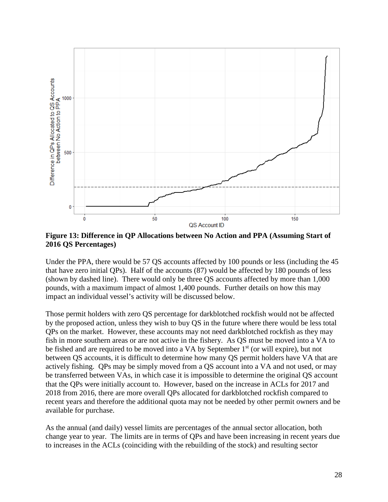

<span id="page-27-0"></span>**Figure 13: Difference in QP Allocations between No Action and PPA (Assuming Start of 2016 QS Percentages)**

Under the PPA, there would be 57 QS accounts affected by 100 pounds or less (including the 45 that have zero initial QPs). Half of the accounts (87) would be affected by 180 pounds of less (shown by dashed line). There would only be three QS accounts affected by more than 1,000 pounds, with a maximum impact of almost 1,400 pounds. Further details on how this may impact an individual vessel's activity will be discussed below.

Those permit holders with zero QS percentage for darkblotched rockfish would not be affected by the proposed action, unless they wish to buy QS in the future where there would be less total QPs on the market. However, these accounts may not need darkblotched rockfish as they may fish in more southern areas or are not active in the fishery. As QS must be moved into a VA to be fished and are required to be moved into a VA by September 1<sup>st</sup> (or will expire), but not between QS accounts, it is difficult to determine how many QS permit holders have VA that are actively fishing. QPs may be simply moved from a QS account into a VA and not used, or may be transferred between VAs, in which case it is impossible to determine the original QS account that the QPs were initially account to. However, based on the increase in ACLs for 2017 and 2018 from 2016, there are more overall QPs allocated for darkblotched rockfish compared to recent years and therefore the additional quota may not be needed by other permit owners and be available for purchase.

As the annual (and daily) vessel limits are percentages of the annual sector allocation, both change year to year. The limits are in terms of QPs and have been increasing in recent years due to increases in the ACLs (coinciding with the rebuilding of the stock) and resulting sector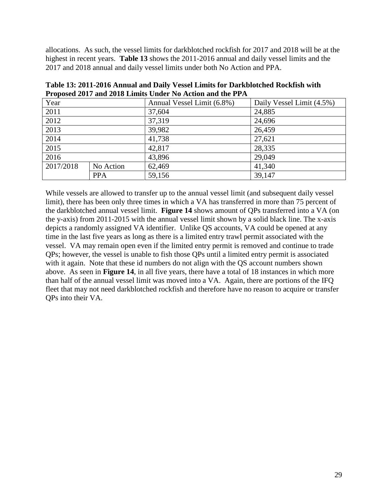allocations. As such, the vessel limits for darkblotched rockfish for 2017 and 2018 will be at the highest in recent years. **[Table 13](#page-28-0)** shows the 2011-2016 annual and daily vessel limits and the 2017 and 2018 annual and daily vessel limits under both No Action and PPA.

<span id="page-28-0"></span>

| Table 13: 2011-2016 Annual and Daily Vessel Limits for Darkblotched Rockfish with |
|-----------------------------------------------------------------------------------|
| Proposed 2017 and 2018 Limits Under No Action and the PPA                         |

| Year      |            | Annual Vessel Limit (6.8%) | Daily Vessel Limit (4.5%) |
|-----------|------------|----------------------------|---------------------------|
| 2011      |            | 37,604                     | 24,885                    |
| 2012      |            | 37,319                     | 24,696                    |
| 2013      |            | 39,982                     | 26,459                    |
| 2014      |            | 41,738                     | 27,621                    |
| 2015      |            | 42,817                     | 28,335                    |
| 2016      |            | 43,896                     | 29,049                    |
| 2017/2018 | No Action  | 62,469                     | 41,340                    |
|           | <b>PPA</b> | 59,156                     | 39,147                    |

While vessels are allowed to transfer up to the annual vessel limit (and subsequent daily vessel limit), there has been only three times in which a VA has transferred in more than 75 percent of the darkblotched annual vessel limit. **[Figure 14](#page-29-0)** shows amount of QPs transferred into a VA (on the y-axis) from 2011-2015 with the annual vessel limit shown by a solid black line. The x-axis depicts a randomly assigned VA identifier. Unlike QS accounts, VA could be opened at any time in the last five years as long as there is a limited entry trawl permit associated with the vessel. VA may remain open even if the limited entry permit is removed and continue to trade QPs; however, the vessel is unable to fish those QPs until a limited entry permit is associated with it again. Note that these id numbers do not align with the QS account numbers shown above. As seen in **[Figure 14](#page-29-0)**, in all five years, there have a total of 18 instances in which more than half of the annual vessel limit was moved into a VA. Again, there are portions of the IFQ fleet that may not need darkblotched rockfish and therefore have no reason to acquire or transfer QPs into their VA.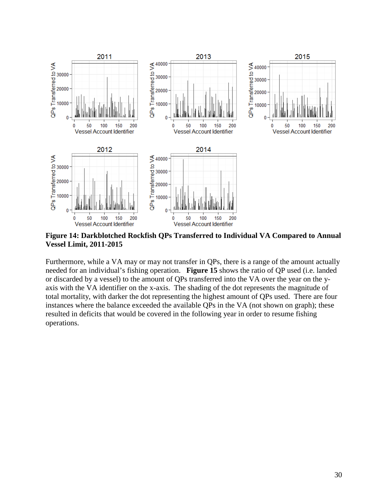

<span id="page-29-0"></span>**Figure 14: Darkblotched Rockfish QPs Transferred to Individual VA Compared to Annual Vessel Limit, 2011-2015**

Furthermore, while a VA may or may not transfer in QPs, there is a range of the amount actually needed for an individual's fishing operation. **[Figure 15](#page-30-0)** shows the ratio of QP used (i.e. landed or discarded by a vessel) to the amount of QPs transferred into the VA over the year on the yaxis with the VA identifier on the x-axis. The shading of the dot represents the magnitude of total mortality, with darker the dot representing the highest amount of QPs used. There are four instances where the balance exceeded the available QPs in the VA (not shown on graph); these resulted in deficits that would be covered in the following year in order to resume fishing operations.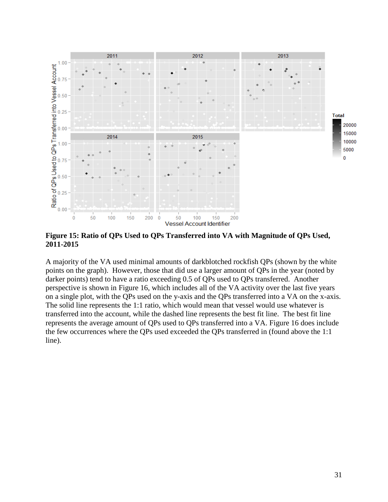

<span id="page-30-0"></span>**Figure 15: Ratio of QPs Used to QPs Transferred into VA with Magnitude of QPs Used, 2011-2015**

A majority of the VA used minimal amounts of darkblotched rockfish QPs (shown by the white points on the graph). However, those that did use a larger amount of QPs in the year (noted by darker points) tend to have a ratio exceeding 0.5 of QPs used to QPs transferred. Another perspective is shown in [Figure](#page-31-0) 16, which includes all of the VA activity over the last five years on a single plot, with the QPs used on the y-axis and the QPs transferred into a VA on the x-axis. The solid line represents the 1:1 ratio, which would mean that vessel would use whatever is transferred into the account, while the dashed line represents the best fit line. The best fit line represents the average amount of QPs used to QPs transferred into a VA. [Figure 16](#page-31-0) does include the few occurrences where the QPs used exceeded the QPs transferred in (found above the 1:1 line).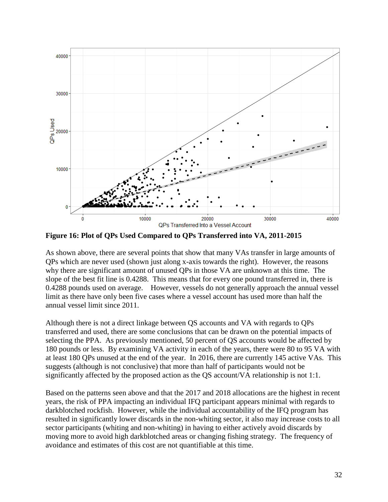

<span id="page-31-0"></span>**Figure 16: Plot of QPs Used Compared to QPs Transferred into VA, 2011-2015**

As shown above, there are several points that show that many VAs transfer in large amounts of QPs which are never used (shown just along x-axis towards the right). However, the reasons why there are significant amount of unused QPs in those VA are unknown at this time. The slope of the best fit line is 0.4288. This means that for every one pound transferred in, there is 0.4288 pounds used on average. However, vessels do not generally approach the annual vessel limit as there have only been five cases where a vessel account has used more than half the annual vessel limit since 2011.

Although there is not a direct linkage between QS accounts and VA with regards to QPs transferred and used, there are some conclusions that can be drawn on the potential impacts of selecting the PPA. As previously mentioned, 50 percent of QS accounts would be affected by 180 pounds or less. By examining VA activity in each of the years, there were 80 to 95 VA with at least 180 QPs unused at the end of the year. In 2016, there are currently 145 active VAs. This suggests (although is not conclusive) that more than half of participants would not be significantly affected by the proposed action as the QS account/VA relationship is not 1:1.

Based on the patterns seen above and that the 2017 and 2018 allocations are the highest in recent years, the risk of PPA impacting an individual IFQ participant appears minimal with regards to darkblotched rockfish. However, while the individual accountability of the IFQ program has resulted in significantly lower discards in the non-whiting sector, it also may increase costs to all sector participants (whiting and non-whiting) in having to either actively avoid discards by moving more to avoid high darkblotched areas or changing fishing strategy. The frequency of avoidance and estimates of this cost are not quantifiable at this time.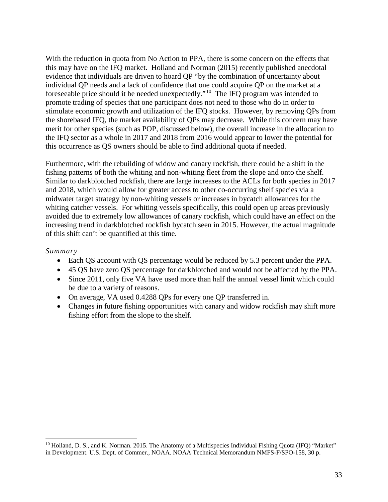With the reduction in quota from No Action to PPA, there is some concern on the effects that this may have on the IFQ market. Holland and Norman (2015) recently published anecdotal evidence that individuals are driven to hoard QP "by the combination of uncertainty about individual QP needs and a lack of confidence that one could acquire QP on the market at a foreseeable price should it be needed unexpectedly."[10](#page-32-0) The IFQ program was intended to promote trading of species that one participant does not need to those who do in order to stimulate economic growth and utilization of the IFQ stocks. However, by removing QPs from the shorebased IFQ, the market availability of QPs may decrease. While this concern may have merit for other species (such as POP, discussed below), the overall increase in the allocation to the IFQ sector as a whole in 2017 and 2018 from 2016 would appear to lower the potential for this occurrence as QS owners should be able to find additional quota if needed.

Furthermore, with the rebuilding of widow and canary rockfish, there could be a shift in the fishing patterns of both the whiting and non-whiting fleet from the slope and onto the shelf. Similar to darkblotched rockfish, there are large increases to the ACLs for both species in 2017 and 2018, which would allow for greater access to other co-occurring shelf species via a midwater target strategy by non-whiting vessels or increases in bycatch allowances for the whiting catcher vessels. For whiting vessels specifically, this could open up areas previously avoided due to extremely low allowances of canary rockfish, which could have an effect on the increasing trend in darkblotched rockfish bycatch seen in 2015. However, the actual magnitude of this shift can't be quantified at this time.

#### *Summary*

- Each QS account with QS percentage would be reduced by 5.3 percent under the PPA.
- 45 QS have zero QS percentage for darkblotched and would not be affected by the PPA.
- Since 2011, only five VA have used more than half the annual vessel limit which could be due to a variety of reasons.
- On average, VA used 0.4288 QPs for every one QP transferred in.
- Changes in future fishing opportunities with canary and widow rockfish may shift more fishing effort from the slope to the shelf.

<span id="page-32-0"></span><sup>&</sup>lt;sup>10</sup> Holland, D. S., and K. Norman. 2015. The Anatomy of a Multispecies Individual Fishing Quota (IFQ) "Market" in Development. U.S. Dept. of Commer., NOAA. NOAA Technical Memorandum NMFS-F/SPO-158, 30 p.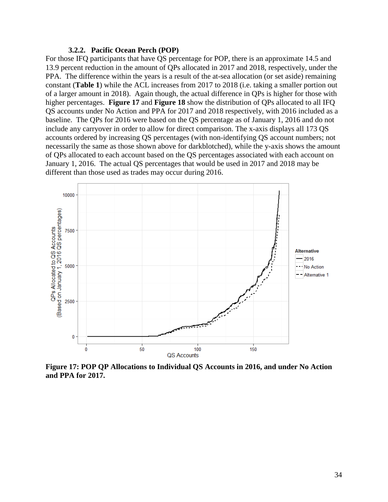#### **3.2.2. Pacific Ocean Perch (POP)**

<span id="page-33-0"></span>For those IFQ participants that have QS percentage for POP, there is an approximate 14.5 and 13.9 percent reduction in the amount of QPs allocated in 2017 and 2018, respectively, under the PPA. The difference within the years is a result of the at-sea allocation (or set aside) remaining constant (**[Table 1](#page-2-1)**) while the ACL increases from 2017 to 2018 (i.e. taking a smaller portion out of a larger amount in 2018). Again though, the actual difference in QPs is higher for those with higher percentages. **[Figure 17](#page-33-1)** and **[Figure 18](#page-34-0)** show the distribution of QPs allocated to all IFQ QS accounts under No Action and PPA for 2017 and 2018 respectively, with 2016 included as a baseline. The QPs for 2016 were based on the QS percentage as of January 1, 2016 and do not include any carryover in order to allow for direct comparison. The x-axis displays all 173 QS accounts ordered by increasing QS percentages (with non-identifying QS account numbers; not necessarily the same as those shown above for darkblotched), while the y-axis shows the amount of QPs allocated to each account based on the QS percentages associated with each account on January 1, 2016. The actual QS percentages that would be used in 2017 and 2018 may be different than those used as trades may occur during 2016.



<span id="page-33-1"></span>**Figure 17: POP QP Allocations to Individual QS Accounts in 2016, and under No Action and PPA for 2017.**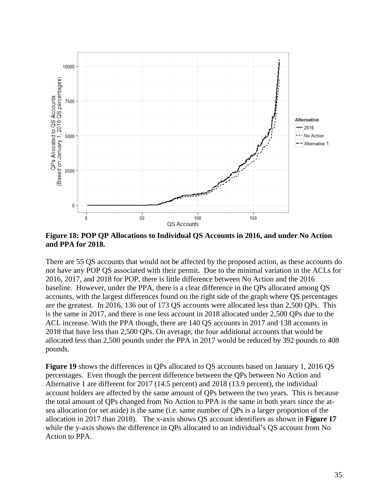

<span id="page-34-0"></span>**Figure 18: POP QP Allocations to Individual QS Accounts in 2016, and under No Action and PPA for 2018.**

There are 55 QS accounts that would not be affected by the proposed action, as these accounts do not have any POP QS associated with their permit. Due to the minimal variation in the ACLs for 2016, 2017, and 2018 for POP, there is little difference between No Action and the 2016 baseline. However, under the PPA, there is a clear difference in the QPs allocated among QS accounts, with the largest differences found on the right side of the graph where QS percentages are the greatest. In 2016, 136 out of 173 QS accounts were allocated less than 2,500 QPs. This is the same in 2017, and there is one less account in 2018 allocated under 2,500 QPs due to the ACL increase. With the PPA though, there are 140 QS accounts in 2017 and 138 accounts in 2018 that have less than 2,500 QPs. On average, the four additional accounts that would be allocated less than 2,500 pounds under the PPA in 2017 would be reduced by 392 pounds to 408 pounds.

**[Figure 19](#page-35-0)** shows the differences in QPs allocated to QS accounts based on January 1, 2016 QS percentages. Even though the percent difference between the QPs between No Action and Alternative 1 are different for 2017 (14.5 percent) and 2018 (13.9 percent), the individual account holders are affected by the same amount of QPs between the two years. This is because the total amount of QPs changed from No Action to PPA is the same in both years since the atsea allocation (or set aside) is the same (i.e. same number of QPs is a larger proportion of the allocation in 2017 than 2018). The x-axis shows QS account identifiers as shown in **[Figure 17](#page-33-1)** while the y-axis shows the difference in QPs allocated to an individual's QS account from No Action to PPA.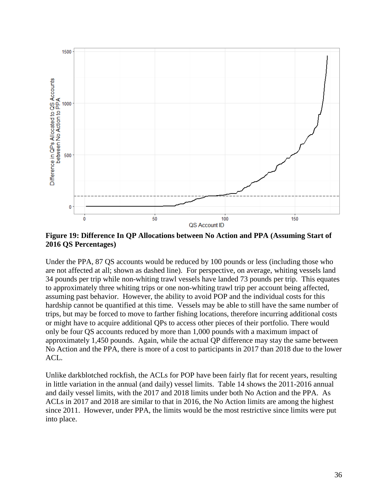

<span id="page-35-0"></span>**Figure 19: Difference In QP Allocations between No Action and PPA (Assuming Start of 2016 QS Percentages)**

Under the PPA, 87 QS accounts would be reduced by 100 pounds or less (including those who are not affected at all; shown as dashed line). For perspective, on average, whiting vessels land 34 pounds per trip while non-whiting trawl vessels have landed 73 pounds per trip. This equates to approximately three whiting trips or one non-whiting trawl trip per account being affected, assuming past behavior. However, the ability to avoid POP and the individual costs for this hardship cannot be quantified at this time. Vessels may be able to still have the same number of trips, but may be forced to move to farther fishing locations, therefore incurring additional costs or might have to acquire additional QPs to access other pieces of their portfolio. There would only be four QS accounts reduced by more than 1,000 pounds with a maximum impact of approximately 1,450 pounds. Again, while the actual QP difference may stay the same between No Action and the PPA, there is more of a cost to participants in 2017 than 2018 due to the lower ACL.

Unlike darkblotched rockfish, the ACLs for POP have been fairly flat for recent years, resulting in little variation in the annual (and daily) vessel limits. [Table 14](#page-36-0) shows the 2011-2016 annual and daily vessel limits, with the 2017 and 2018 limits under both No Action and the PPA. As ACLs in 2017 and 2018 are similar to that in 2016, the No Action limits are among the highest since 2011. However, under PPA, the limits would be the most restrictive since limits were put into place.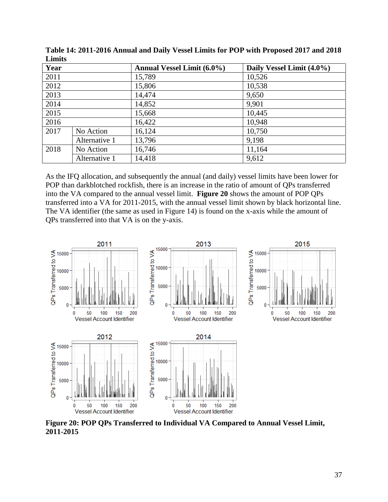| Year |               | Annual Vessel Limit (6.0%) | Daily Vessel Limit (4.0%) |
|------|---------------|----------------------------|---------------------------|
| 2011 |               | 15,789                     | 10,526                    |
| 2012 |               | 15,806                     | 10,538                    |
| 2013 |               | 14,474                     | 9,650                     |
| 2014 |               | 14,852                     | 9,901                     |
| 2015 |               | 15,668                     | 10,445                    |
| 2016 |               | 16,422                     | 10,948                    |
| 2017 | No Action     | 16,124                     | 10,750                    |
|      | Alternative 1 | 13,796                     | 9,198                     |
| 2018 | No Action     | 16,746                     | 11,164                    |
|      | Alternative 1 | 14,418                     | 9,612                     |

<span id="page-36-0"></span>**Table 14: 2011-2016 Annual and Daily Vessel Limits for POP with Proposed 2017 and 2018 Limits**

As the IFQ allocation, and subsequently the annual (and daily) vessel limits have been lower for POP than darkblotched rockfish, there is an increase in the ratio of amount of QPs transferred into the VA compared to the annual vessel limit. **[Figure 20](#page-36-1)** shows the amount of POP QPs transferred into a VA for 2011-2015, with the annual vessel limit shown by black horizontal line. The VA identifier (the same as used in [Figure 14\)](#page-29-0) is found on the x-axis while the amount of QPs transferred into that VA is on the y-axis.



<span id="page-36-1"></span>**Figure 20: POP QPs Transferred to Individual VA Compared to Annual Vessel Limit, 2011-2015**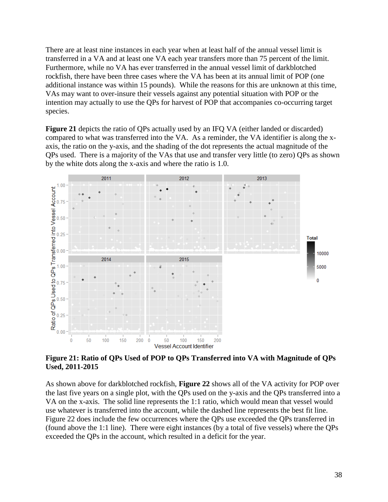There are at least nine instances in each year when at least half of the annual vessel limit is transferred in a VA and at least one VA each year transfers more than 75 percent of the limit. Furthermore, while no VA has ever transferred in the annual vessel limit of darkblotched rockfish, there have been three cases where the VA has been at its annual limit of POP (one additional instance was within 15 pounds). While the reasons for this are unknown at this time, VAs may want to over-insure their vessels against any potential situation with POP or the intention may actually to use the QPs for harvest of POP that accompanies co-occurring target species.

**[Figure 21](#page-37-0)** depicts the ratio of QPs actually used by an IFQ VA (either landed or discarded) compared to what was transferred into the VA. As a reminder, the VA identifier is along the xaxis, the ratio on the y-axis, and the shading of the dot represents the actual magnitude of the QPs used. There is a majority of the VAs that use and transfer very little (to zero) QPs as shown by the white dots along the x-axis and where the ratio is 1.0.



<span id="page-37-0"></span>**Figure 21: Ratio of QPs Used of POP to QPs Transferred into VA with Magnitude of QPs Used, 2011-2015**

As shown above for darkblotched rockfish, **[Figure 22](#page-38-0)** shows all of the VA activity for POP over the last five years on a single plot, with the QPs used on the y-axis and the QPs transferred into a VA on the x-axis. The solid line represents the 1:1 ratio, which would mean that vessel would use whatever is transferred into the account, while the dashed line represents the best fit line. [Figure 22](#page-38-0) does include the few occurrences where the QPs use exceeded the QPs transferred in (found above the 1:1 line). There were eight instances (by a total of five vessels) where the QPs exceeded the QPs in the account, which resulted in a deficit for the year.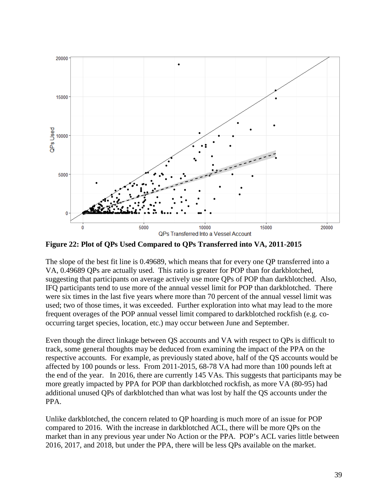

<span id="page-38-0"></span>**Figure 22: Plot of QPs Used Compared to QPs Transferred into VA, 2011-2015**

The slope of the best fit line is 0.49689, which means that for every one QP transferred into a VA, 0.49689 QPs are actually used. This ratio is greater for POP than for darkblotched, suggesting that participants on average actively use more QPs of POP than darkblotched. Also, IFQ participants tend to use more of the annual vessel limit for POP than darkblotched. There were six times in the last five years where more than 70 percent of the annual vessel limit was used; two of those times, it was exceeded. Further exploration into what may lead to the more frequent overages of the POP annual vessel limit compared to darkblotched rockfish (e.g. cooccurring target species, location, etc.) may occur between June and September.

Even though the direct linkage between QS accounts and VA with respect to QPs is difficult to track, some general thoughts may be deduced from examining the impact of the PPA on the respective accounts. For example, as previously stated above, half of the QS accounts would be affected by 100 pounds or less. From 2011-2015, 68-78 VA had more than 100 pounds left at the end of the year. In 2016, there are currently 145 VAs. This suggests that participants may be more greatly impacted by PPA for POP than darkblotched rockfish, as more VA (80-95) had additional unused QPs of darkblotched than what was lost by half the QS accounts under the PPA.

Unlike darkblotched, the concern related to QP hoarding is much more of an issue for POP compared to 2016. With the increase in darkblotched ACL, there will be more QPs on the market than in any previous year under No Action or the PPA. POP's ACL varies little between 2016, 2017, and 2018, but under the PPA, there will be less QPs available on the market.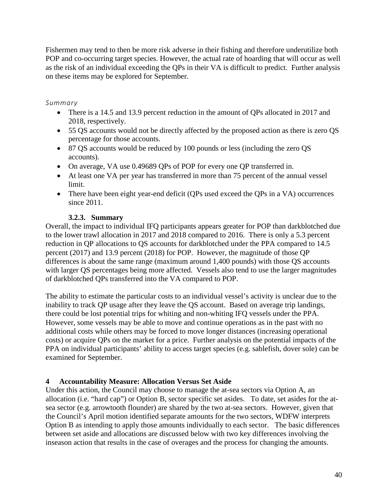Fishermen may tend to then be more risk adverse in their fishing and therefore underutilize both POP and co-occurring target species. However, the actual rate of hoarding that will occur as well as the risk of an individual exceeding the QPs in their VA is difficult to predict. Further analysis on these items may be explored for September.

### *Summary*

- There is a 14.5 and 13.9 percent reduction in the amount of QPs allocated in 2017 and 2018, respectively.
- 55 QS accounts would not be directly affected by the proposed action as there is zero QS percentage for those accounts.
- 87 OS accounts would be reduced by 100 pounds or less (including the zero OS accounts).
- On average, VA use 0.49689 QPs of POP for every one QP transferred in.
- At least one VA per year has transferred in more than 75 percent of the annual vessel limit.
- There have been eight year-end deficit (QPs used exceed the QPs in a VA) occurrences since 2011.

### **3.2.3. Summary**

<span id="page-39-0"></span>Overall, the impact to individual IFQ participants appears greater for POP than darkblotched due to the lower trawl allocation in 2017 and 2018 compared to 2016. There is only a 5.3 percent reduction in QP allocations to QS accounts for darkblotched under the PPA compared to 14.5 percent (2017) and 13.9 percent (2018) for POP. However, the magnitude of those QP differences is about the same range (maximum around 1,400 pounds) with those QS accounts with larger QS percentages being more affected. Vessels also tend to use the larger magnitudes of darkblotched QPs transferred into the VA compared to POP.

The ability to estimate the particular costs to an individual vessel's activity is unclear due to the inability to track QP usage after they leave the QS account. Based on average trip landings, there could be lost potential trips for whiting and non-whiting IFQ vessels under the PPA. However, some vessels may be able to move and continue operations as in the past with no additional costs while others may be forced to move longer distances (increasing operational costs) or acquire QPs on the market for a price. Further analysis on the potential impacts of the PPA on individual participants' ability to access target species (e.g. sablefish, dover sole) can be examined for September.

### <span id="page-39-1"></span>**4 Accountability Measure: Allocation Versus Set Aside**

Under this action, the Council may choose to manage the at-sea sectors via Option A, an allocation (i.e. "hard cap") or Option B, sector specific set asides. To date, set asides for the atsea sector (e.g. arrowtooth flounder) are shared by the two at-sea sectors. However, given that the Council's April motion identified separate amounts for the two sectors, WDFW interprets Option B as intending to apply those amounts individually to each sector. The basic differences between set aside and allocations are discussed below with two key differences involving the inseason action that results in the case of overages and the process for changing the amounts.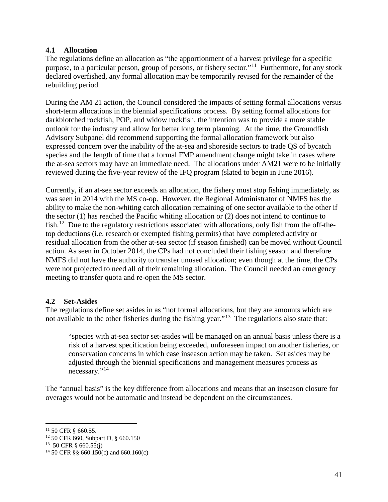#### <span id="page-40-0"></span>**4.1 Allocation**

The regulations define an allocation as "the apportionment of a harvest privilege for a specific purpose, to a particular person, group of persons, or fishery sector."[11](#page-40-2) Furthermore, for any stock declared overfished, any formal allocation may be temporarily revised for the remainder of the rebuilding period.

During the AM 21 action, the Council considered the impacts of setting formal allocations versus short-term allocations in the biennial specifications process. By setting formal allocations for darkblotched rockfish, POP, and widow rockfish, the intention was to provide a more stable outlook for the industry and allow for better long term planning. At the time, the Groundfish Advisory Subpanel did recommend supporting the formal allocation framework but also expressed concern over the inability of the at-sea and shoreside sectors to trade QS of bycatch species and the length of time that a formal FMP amendment change might take in cases where the at-sea sectors may have an immediate need. The allocations under AM21 were to be initially reviewed during the five-year review of the IFQ program (slated to begin in June 2016).

Currently, if an at-sea sector exceeds an allocation, the fishery must stop fishing immediately, as was seen in 2014 with the MS co-op. However, the Regional Administrator of NMFS has the ability to make the non-whiting catch allocation remaining of one sector available to the other if the sector (1) has reached the Pacific whiting allocation or (2) does not intend to continue to fish.<sup>12</sup> Due to the regulatory restrictions associated with allocations, only fish from the off-thetop deductions (i.e. research or exempted fishing permits) that have completed activity or residual allocation from the other at-sea sector (if season finished) can be moved without Council action. As seen in October 2014, the CPs had not concluded their fishing season and therefore NMFS did not have the authority to transfer unused allocation; even though at the time, the CPs were not projected to need all of their remaining allocation. The Council needed an emergency meeting to transfer quota and re-open the MS sector.

### <span id="page-40-1"></span>**4.2 Set-Asides**

The regulations define set asides in as "not formal allocations, but they are amounts which are not available to the other fisheries during the fishing year."<sup>13</sup> The regulations also state that:

"species with at-sea sector set-asides will be managed on an annual basis unless there is a risk of a harvest specification being exceeded, unforeseen impact on another fisheries, or conservation concerns in which case inseason action may be taken. Set asides may be adjusted through the biennial specifications and management measures process as necessary."<sup>[14](#page-40-5)</sup>

The "annual basis" is the key difference from allocations and means that an inseason closure for overages would not be automatic and instead be dependent on the circumstances.

<span id="page-40-2"></span><sup>&</sup>lt;sup>11</sup> 50 CFR § 660.55.<br><sup>12</sup> 50 CFR 660, Subpart D, § 660.150

<span id="page-40-4"></span><span id="page-40-3"></span><sup>&</sup>lt;sup>13</sup> 50 CFR § 660.55(j)

<span id="page-40-5"></span><sup>&</sup>lt;sup>14</sup> 50 CFR §§ 660.150(c) and 660.160(c)